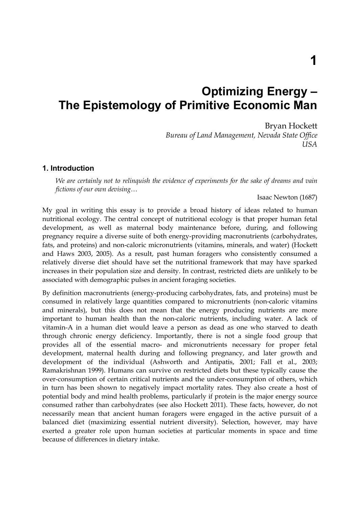# **Optimizing Energy – The Epistemology of Primitive Economic Man**

Bryan Hockett

*Bureau of Land Management, Nevada State Office USA* 

## **1. Introduction**

*We are certainly not to relinquish the evidence of experiments for the sake of dreams and vain fictions of our own devising…* 

Isaac Newton (1687)

My goal in writing this essay is to provide a broad history of ideas related to human nutritional ecology. The central concept of nutritional ecology is that proper human fetal development, as well as maternal body maintenance before, during, and following pregnancy require a diverse suite of both energy-providing macronutrients (carbohydrates, fats, and proteins) and non-caloric micronutrients (vitamins, minerals, and water) (Hockett and Haws 2003, 2005). As a result, past human foragers who consistently consumed a relatively diverse diet should have set the nutritional framework that may have sparked increases in their population size and density. In contrast, restricted diets are unlikely to be associated with demographic pulses in ancient foraging societies.

By definition macronutrients (energy-producing carbohydrates, fats, and proteins) must be consumed in relatively large quantities compared to micronutrients (non-caloric vitamins and minerals), but this does not mean that the energy producing nutrients are more important to human health than the non-caloric nutrients, including water. A lack of vitamin-A in a human diet would leave a person as dead as one who starved to death through chronic energy deficiency. Importantly, there is not a single food group that provides all of the essential macro- and micronutrients necessary for proper fetal development, maternal health during and following pregnancy, and later growth and development of the individual (Ashworth and Antipatis, 2001; Fall et al., 2003; Ramakrishnan 1999). Humans can survive on restricted diets but these typically cause the over-consumption of certain critical nutrients and the under-consumption of others, which in turn has been shown to negatively impact mortality rates. They also create a host of potential body and mind health problems, particularly if protein is the major energy source consumed rather than carbohydrates (see also Hockett 2011). These facts, however, do not necessarily mean that ancient human foragers were engaged in the active pursuit of a balanced diet (maximizing essential nutrient diversity). Selection, however, may have exerted a greater role upon human societies at particular moments in space and time because of differences in dietary intake.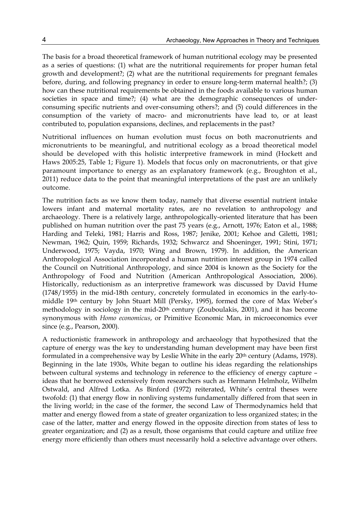The basis for a broad theoretical framework of human nutritional ecology may be presented as a series of questions: (1) what are the nutritional requirements for proper human fetal growth and development?; (2) what are the nutritional requirements for pregnant females before, during, and following pregnancy in order to ensure long-term maternal health?; (3) how can these nutritional requirements be obtained in the foods available to various human societies in space and time?; (4) what are the demographic consequences of underconsuming specific nutrients and over-consuming others?; and (5) could differences in the consumption of the variety of macro- and micronutrients have lead to, or at least contributed to, population expansions, declines, and replacements in the past?

Nutritional influences on human evolution must focus on both macronutrients and micronutrients to be meaningful, and nutritional ecology as a broad theoretical model should be developed with this holistic interpretive framework in mind (Hockett and Haws 2005:25, Table 1; Figure 1). Models that focus only on macronutrients, or that give paramount importance to energy as an explanatory framework (e.g., Broughton et al., 2011) reduce data to the point that meaningful interpretations of the past are an unlikely outcome.

The nutrition facts as we know them today, namely that diverse essential nutrient intake lowers infant and maternal mortality rates, are no revelation to anthropology and archaeology. There is a relatively large, anthropologically-oriented literature that has been published on human nutrition over the past 75 years (e.g., Arnott, 1976; Eaton et al., 1988; Harding and Teleki, 1981; Harris and Ross, 1987; Jenike, 2001; Kehoe and Giletti, 1981; Newman, 1962; Quin, 1959; Richards, 1932; Schwarcz and Shoeninger, 1991; Stini, 1971; Underwood, 1975; Vayda, 1970; Wing and Brown, 1979). In addition, the American Anthropological Association incorporated a human nutrition interest group in 1974 called the Council on Nutritional Anthropology, and since 2004 is known as the Society for the Anthropology of Food and Nutrition (American Anthropological Association, 2006). Historically, reductionism as an interpretive framework was discussed by David Hume (1748/1955) in the mid-18th century, concretely formulated in economics in the early-tomiddle 19th century by John Stuart Mill (Persky, 1995), formed the core of Max Weber's methodology in sociology in the mid-20<sup>th</sup> century (Zouboulakis, 2001), and it has become synonymous with *Homo economicus*, or Primitive Economic Man, in microeconomics ever since (e.g., Pearson, 2000).

A reductionistic framework in anthropology and archaeology that hypothesized that the capture of energy was the key to understanding human development may have been first formulated in a comprehensive way by Leslie White in the early 20th century (Adams, 1978). Beginning in the late 1930s, White began to outline his ideas regarding the relationships between cultural systems and technology in reference to the efficiency of energy capture – ideas that he borrowed extensively from researchers such as Hermann Helmholz, Wilhelm Ostwald, and Alfred Lotka. As Binford (1972) reiterated, White's central theses were twofold: (1) that energy flow in nonliving systems fundamentally differed from that seen in the living world; in the case of the former, the second Law of Thermodynamics held that matter and energy flowed from a state of greater organization to less organized states; in the case of the latter, matter and energy flowed in the opposite direction from states of less to greater organization; and (2) as a result, those organisms that could capture and utilize free energy more efficiently than others must necessarily hold a selective advantage over others.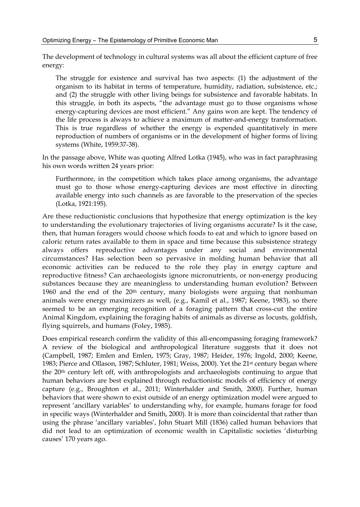The development of technology in cultural systems was all about the efficient capture of free energy:

The struggle for existence and survival has two aspects: (1) the adjustment of the organism to its habitat in terms of temperature, humidity, radiation, subsistence, etc.; and (2) the struggle with other living beings for subsistence and favorable habitats. In this struggle, in both its aspects, "the advantage must go to those organisms whose energy-capturing devices are most efficient." Any gains won are kept. The tendency of the life process is always to achieve a maximum of matter-and-energy transformation. This is true regardless of whether the energy is expended quantitatively in mere reproduction of numbers of organisms or in the development of higher forms of living systems (White, 1959:37-38).

In the passage above, White was quoting Alfred Lotka (1945), who was in fact paraphrasing his own words written 24 years prior:

Furthermore, in the competition which takes place among organisms, the advantage must go to those whose energy-capturing devices are most effective in directing available energy into such channels as are favorable to the preservation of the species (Lotka, 1921:195).

Are these reductionistic conclusions that hypothesize that energy optimization is the key to understanding the evolutionary trajectories of living organisms accurate? Is it the case, then, that human foragers would choose which foods to eat and which to ignore based on caloric return rates available to them in space and time because this subsistence strategy always offers reproductive advantages under any social and environmental circumstances? Has selection been so pervasive in molding human behavior that all economic activities can be reduced to the role they play in energy capture and reproductive fitness? Can archaeologists ignore micronutrients, or non-energy producing substances because they are meaningless to understanding human evolution? Between 1960 and the end of the  $20<sup>th</sup>$  century, many biologists were arguing that nonhuman animals were energy maximizers as well, (e.g., Kamil et al., 1987; Keene, 1983), so there seemed to be an emerging recognition of a foraging pattern that cross-cut the entire Animal Kingdom, explaining the foraging habits of animals as diverse as locusts, goldfish, flying squirrels, and humans (Foley, 1985).

Does empirical research confirm the validity of this all-encompassing foraging framework? A review of the biological and anthropological literature suggests that it does not (Campbell, 1987; Emlen and Emlen, 1975; Gray, 1987; Heider, 1976; Ingold, 2000; Keene, 1983; Pierce and Ollason, 1987; Schluter, 1981; Weiss, 2000). Yet the 21st century began where the 20th century left off, with anthropologists and archaeologists continuing to argue that human behaviors are best explained through reductionistic models of efficiency of energy capture (e.g., Broughton et al., 2011; Winterhalder and Smith, 2000). Further, human behaviors that were shown to exist outside of an energy optimization model were argued to represent 'ancillary variables' to understanding why, for example, humans forage for food in specific ways (Winterhalder and Smith, 2000). It is more than coincidental that rather than using the phrase 'ancillary variables', John Stuart Mill (1836) called human behaviors that did not lead to an optimization of economic wealth in Capitalistic societies 'disturbing causes' 170 years ago.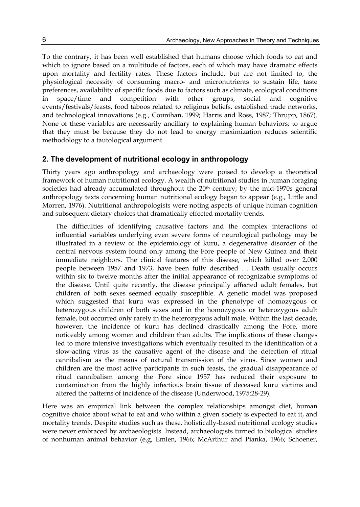To the contrary, it has been well established that humans choose which foods to eat and which to ignore based on a multitude of factors, each of which may have dramatic effects upon mortality and fertility rates. These factors include, but are not limited to, the physiological necessity of consuming macro- and micronutrients to sustain life, taste preferences, availability of specific foods due to factors such as climate, ecological conditions in space/time and competition with other groups, social and cognitive events/festivals/feasts, food taboos related to religious beliefs, established trade networks, and technological innovations (e.g., Counihan, 1999; Harris and Ross, 1987; Thrupp, 1867). None of these variables are necessarily ancillary to explaining human behaviors; to argue that they must be because they do not lead to energy maximization reduces scientific methodology to a tautological argument.

# **2. The development of nutritional ecology in anthropology**

Thirty years ago anthropology and archaeology were poised to develop a theoretical framework of human nutritional ecology. A wealth of nutritional studies in human foraging societies had already accumulated throughout the 20<sup>th</sup> century; by the mid-1970s general anthropology texts concerning human nutritional ecology began to appear (e.g., Little and Morren, 1976). Nutritional anthropologists were noting aspects of unique human cognition and subsequent dietary choices that dramatically effected mortality trends.

The difficulties of identifying causative factors and the complex interactions of influential variables underlying even severe forms of neurological pathology may be illustrated in a review of the epidemiology of kuru, a degenerative disorder of the central nervous system found only among the Fore people of New Guinea and their immediate neighbors. The clinical features of this disease, which killed over 2,000 people between 1957 and 1973, have been fully described … Death usually occurs within six to twelve months after the initial appearance of recognizable symptoms of the disease. Until quite recently, the disease principally affected adult females, but children of both sexes seemed equally susceptible. A genetic model was proposed which suggested that kuru was expressed in the phenotype of homozygous or heterozygous children of both sexes and in the homozygous or heterozygous adult female, but occurred only rarely in the heterozygous adult male. Within the last decade, however, the incidence of kuru has declined drastically among the Fore, more noticeably among women and children than adults. The implications of these changes led to more intensive investigations which eventually resulted in the identification of a slow-acting virus as the causative agent of the disease and the detection of ritual cannibalism as the means of natural transmission of the virus. Since women and children are the most active participants in such feasts, the gradual disappearance of ritual cannibalism among the Fore since 1957 has reduced their exposure to contamination from the highly infectious brain tissue of deceased kuru victims and altered the patterns of incidence of the disease (Underwood, 1975:28-29).

Here was an empirical link between the complex relationships amongst diet, human cognitive choice about what to eat and who within a given society is expected to eat it, and mortality trends. Despite studies such as these, holistically-based nutritional ecology studies were never embraced by archaeologists. Instead, archaeologists turned to biological studies of nonhuman animal behavior (e,g, Emlen, 1966; McArthur and Pianka, 1966; Schoener,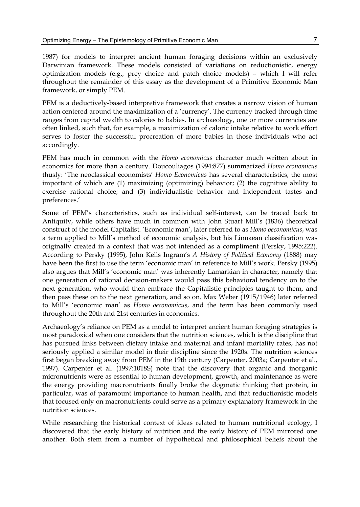1987) for models to interpret ancient human foraging decisions within an exclusively Darwinian framework. These models consisted of variations on reductionistic, energy optimization models (e.g., prey choice and patch choice models) – which I will refer throughout the remainder of this essay as the development of a Primitive Economic Man framework, or simply PEM.

PEM is a deductively-based interpretive framework that creates a narrow vision of human action centered around the maximization of a 'currency'. The currency tracked through time ranges from capital wealth to calories to babies. In archaeology, one or more currencies are often linked, such that, for example, a maximization of caloric intake relative to work effort serves to foster the successful procreation of more babies in those individuals who act accordingly.

PEM has much in common with the *Homo economicus* character much written about in economics for more than a century. Doucouliagos (1994:877) summarized *Homo economicus* thusly: 'The neoclassical economists' *Homo Economicus* has several characteristics, the most important of which are (1) maximizing (optimizing) behavior; (2) the cognitive ability to exercise rational choice; and (3) individualistic behavior and independent tastes and preferences.'

Some of PEM's characteristics, such as individual self-interest, can be traced back to Antiquity, while others have much in common with John Stuart Mill's (1836) theoretical construct of the model Capitalist. 'Economic man', later referred to as *Homo oeconomicus*, was a term applied to Mill's method of economic analysis, but his Linnaean classification was originally created in a context that was not intended as a compliment (Persky, 1995:222). According to Persky (1995), John Kells Ingram's *A History of Political Economy* (1888) may have been the first to use the term 'economic man' in reference to Mill's work. Persky (1995) also argues that Mill's 'economic man' was inherently Lamarkian in character, namely that one generation of rational decision-makers would pass this behavioral tendency on to the next generation, who would then embrace the Capitalistic principles taught to them, and then pass these on to the next generation, and so on. Max Weber (1915/1946) later referred to Mill's 'economic man' as *Homo oeconomicus*, and the term has been commonly used throughout the 20th and 21st centuries in economics.

Archaeology's reliance on PEM as a model to interpret ancient human foraging strategies is most paradoxical when one considers that the nutrition sciences, which is the discipline that has pursued links between dietary intake and maternal and infant mortality rates, has not seriously applied a similar model in their discipline since the 1920s. The nutrition sciences first began breaking away from PEM in the 19th century (Carpenter, 2003a; Carpenter et al., 1997). Carpenter et al. (1997:1018S) note that the discovery that organic and inorganic micronutrients were as essential to human development, growth, and maintenance as were the energy providing macronutrients finally broke the dogmatic thinking that protein, in particular, was of paramount importance to human health, and that reductionistic models that focused only on macronutrients could serve as a primary explanatory framework in the nutrition sciences.

While researching the historical context of ideas related to human nutritional ecology, I discovered that the early history of nutrition and the early history of PEM mirrored one another. Both stem from a number of hypothetical and philosophical beliefs about the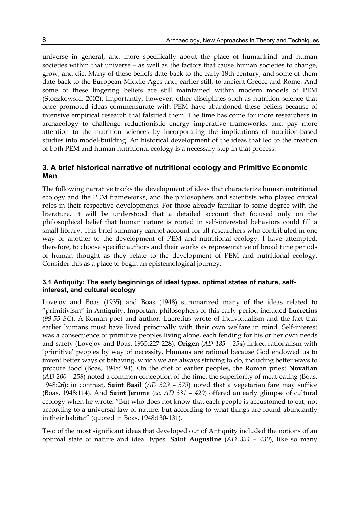universe in general, and more specifically about the place of humankind and human societies within that universe - as well as the factors that cause human societies to change, grow, and die. Many of these beliefs date back to the early 18th century, and some of them date back to the European Middle Ages and, earlier still, to ancient Greece and Rome. And some of these lingering beliefs are still maintained within modern models of PEM (Stoczkowski, 2002). Importantly, however, other disciplines such as nutrition science that once promoted ideas commensurate with PEM have abandoned these beliefs because of intensive empirical research that falsified them. The time has come for more researchers in archaeology to challenge reductionistic energy imperative frameworks, and pay more attention to the nutrition sciences by incorporating the implications of nutrition-based studies into model-building. An historical development of the ideas that led to the creation of both PEM and human nutritional ecology is a necessary step in that process.

# **3. A brief historical narrative of nutritional ecology and Primitive Economic Man**

The following narrative tracks the development of ideas that characterize human nutritional ecology and the PEM frameworks, and the philosophers and scientists who played critical roles in their respective developments. For those already familiar to some degree with the literature, it will be understood that a detailed account that focused only on the philosophical belief that human nature is rooted in self-interested behaviors could fill a small library. This brief summary cannot account for all researchers who contributed in one way or another to the development of PEM and nutritional ecology. I have attempted, therefore, to choose specific authors and their works as representative of broad time periods of human thought as they relate to the development of PEM and nutritional ecology. Consider this as a place to begin an epistemological journey.

## **3.1 Antiquity: The early beginnings of ideal types, optimal states of nature, selfinterest, and cultural ecology**

Lovejoy and Boas (1935) and Boas (1948) summarized many of the ideas related to "primitivism" in Antiquity. Important philosophers of this early period included **Lucretius** (*99-55 BC*). A Roman poet and author, Lucretius wrote of individualism and the fact that earlier humans must have lived principally with their own welfare in mind. Self-interest was a consequence of primitive peoples living alone, each fending for his or her own needs and safety (Lovejoy and Boas, 1935:227-228). **Origen** (*AD 185 – 254*) linked rationalism with 'primitive' peoples by way of necessity. Humans are rational because God endowed us to invent better ways of behaving, which we are always striving to do, including better ways to procure food (Boas, 1948:194). On the diet of earlier peoples, the Roman priest **Novatian** (*AD 200 – 258*) noted a common conception of the time: the superiority of meat-eating (Boas, 1948:26); in contrast, **Saint Basil** (*AD 329 – 379*) noted that a vegetarian fare may suffice (Boas, 1948:114). And **Saint Jerome** (*ca. AD 331 – 420*) offered an early glimpse of cultural ecology when he wrote: "But who does not know that each people is accustomed to eat, not according to a universal law of nature, but according to what things are found abundantly in their habitat" (quoted in Boas, 1948:130-131).

Two of the most significant ideas that developed out of Antiquity included the notions of an optimal state of nature and ideal types. **Saint Augustine** (*AD 354 – 430*), like so many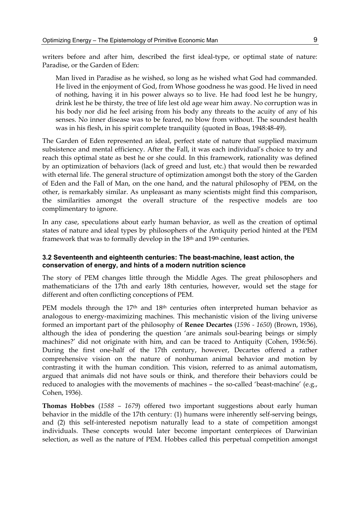writers before and after him, described the first ideal-type, or optimal state of nature: Paradise, or the Garden of Eden:

Man lived in Paradise as he wished, so long as he wished what God had commanded. He lived in the enjoyment of God, from Whose goodness he was good. He lived in need of nothing, having it in his power always so to live. He had food lest he be hungry, drink lest he be thirsty, the tree of life lest old age wear him away. No corruption was in his body nor did he feel arising from his body any threats to the acuity of any of his senses. No inner disease was to be feared, no blow from without. The soundest health was in his flesh, in his spirit complete tranquility (quoted in Boas, 1948:48-49).

The Garden of Eden represented an ideal, perfect state of nature that supplied maximum subsistence and mental efficiency. After the Fall, it was each individual's choice to try and reach this optimal state as best he or she could. In this framework, rationality was defined by an optimization of behaviors (lack of greed and lust, etc.) that would then be rewarded with eternal life. The general structure of optimization amongst both the story of the Garden of Eden and the Fall of Man, on the one hand, and the natural philosophy of PEM, on the other, is remarkably similar. As unpleasant as many scientists might find this comparison, the similarities amongst the overall structure of the respective models are too complimentary to ignore.

In any case, speculations about early human behavior, as well as the creation of optimal states of nature and ideal types by philosophers of the Antiquity period hinted at the PEM framework that was to formally develop in the 18th and 19th centuries.

#### **3.2 Seventeenth and eighteenth centuries: The beast-machine, least action, the conservation of energy, and hints of a modern nutrition science**

The story of PEM changes little through the Middle Ages. The great philosophers and mathematicians of the 17th and early 18th centuries, however, would set the stage for different and often conflicting conceptions of PEM.

PEM models through the 17<sup>th</sup> and 18<sup>th</sup> centuries often interpreted human behavior as analogous to energy-maximizing machines. This mechanistic vision of the living universe formed an important part of the philosophy of **Renee Decartes** (*1596 - 1650*) (Brown, 1936), although the idea of pondering the question 'are animals soul-bearing beings or simply machines?' did not originate with him, and can be traced to Antiquity (Cohen, 1936:56). During the first one-half of the 17th century, however, Decartes offered a rather comprehensive vision on the nature of nonhuman animal behavior and motion by contrasting it with the human condition. This vision, referred to as animal automatism, argued that animals did not have souls or think, and therefore their behaviors could be reduced to analogies with the movements of machines – the so-called 'beast-machine' (e.g., Cohen, 1936).

**Thomas Hobbes** (*1588 – 1679*) offered two important suggestions about early human behavior in the middle of the 17th century: (1) humans were inherently self-serving beings, and (2) this self-interested nepotism naturally lead to a state of competition amongst individuals. These concepts would later become important centerpieces of Darwinian selection, as well as the nature of PEM. Hobbes called this perpetual competition amongst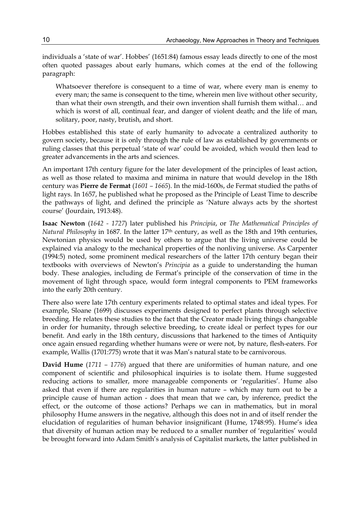individuals a 'state of war'. Hobbes' (1651:84) famous essay leads directly to one of the most often quoted passages about early humans, which comes at the end of the following paragraph:

Whatsoever therefore is consequent to a time of war, where every man is enemy to every man; the same is consequent to the time, wherein men live without other security, than what their own strength, and their own invention shall furnish them withal… and which is worst of all, continual fear, and danger of violent death; and the life of man, solitary, poor, nasty, brutish, and short.

Hobbes established this state of early humanity to advocate a centralized authority to govern society, because it is only through the rule of law as established by governments or ruling classes that this perpetual 'state of war' could be avoided, which would then lead to greater advancements in the arts and sciences.

An important 17th century figure for the later development of the principles of least action, as well as those related to maxima and minima in nature that would develop in the 18th century was **Pierre de Fermat** (*1601 – 1665*). In the mid-1600s, de Fermat studied the paths of light rays. In 1657, he published what he proposed as the Principle of Least Time to describe the pathways of light, and defined the principle as 'Nature always acts by the shortest course' (Jourdain, 1913:48).

**Isaac Newton** (*1642 - 1727*) later published his *Principia*, or *The Mathematical Principles of Natural Philosophy* in 1687. In the latter 17th century, as well as the 18th and 19th centuries, Newtonian physics would be used by others to argue that the living universe could be explained via analogy to the mechanical properties of the nonliving universe. As Carpenter (1994:5) noted, some prominent medical researchers of the latter 17th century began their textbooks with overviews of Newton's *Principia* as a guide to understanding the human body. These analogies, including de Fermat's principle of the conservation of time in the movement of light through space, would form integral components to PEM frameworks into the early 20th century.

There also were late 17th century experiments related to optimal states and ideal types. For example, Sloane (1699) discusses experiments designed to perfect plants through selective breeding. He relates these studies to the fact that the Creator made living things changeable in order for humanity, through selective breeding, to create ideal or perfect types for our benefit. And early in the 18th century, discussions that harkened to the times of Antiquity once again ensued regarding whether humans were or were not, by nature, flesh-eaters. For example, Wallis (1701:775) wrote that it was Man's natural state to be carnivorous.

**David Hume** (*1711 – 1776*) argued that there are uniformities of human nature, and one component of scientific and philosophical inquiries is to isolate them. Hume suggested reducing actions to smaller, more manageable components or 'regularities'. Hume also asked that even if there are regularities in human nature – which may turn out to be a principle cause of human action - does that mean that we can, by inference, predict the effect, or the outcome of those actions? Perhaps we can in mathematics, but in moral philosophy Hume answers in the negative, although this does not in and of itself render the elucidation of regularities of human behavior insignificant (Hume, 1748:95). Hume's idea that diversity of human action may be reduced to a smaller number of 'regularities' would be brought forward into Adam Smith's analysis of Capitalist markets, the latter published in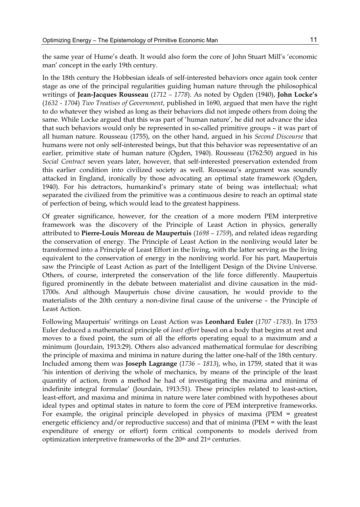the same year of Hume's death. It would also form the core of John Stuart Mill's 'economic man' concept in the early 19th century.

In the 18th century the Hobbesian ideals of self-interested behaviors once again took center stage as one of the principal regularities guiding human nature through the philosophical writings of **Jean-Jacques Rousseau** (*1712 – 1778*). As noted by Ogden (1940), **John Locke's** (*1632 - 1704*) *Two Treatises of Government*, published in 1690, argued that men have the right to do whatever they wished as long as their behaviors did not impede others from doing the same. While Locke argued that this was part of 'human nature', he did not advance the idea that such behaviors would only be represented in so-called primitive groups – it was part of all human nature. Rousseau (1755), on the other hand, argued in his *Second Discourse* that humans were not only self-interested beings, but that this behavior was representative of an earlier, primitive state of human nature (Ogden, 1940). Rousseau (1762:50) argued in his *Social Contract* seven years later, however, that self-interested preservation extended from this earlier condition into civilized society as well. Rousseau's argument was soundly attacked in England, ironically by those advocating an optimal state framework (Ogden, 1940). For his detractors, humankind's primary state of being was intellectual; what separated the civilized from the primitive was a continuous desire to reach an optimal state of perfection of being, which would lead to the greatest happiness.

Of greater significance, however, for the creation of a more modern PEM interpretive framework was the discovery of the Principle of Least Action in physics, generally attributed to **Pierre-Louis Moreau de Maupertuis** (*1698 – 1759*), and related ideas regarding the conservation of energy. The Principle of Least Action in the nonliving would later be transformed into a Principle of Least Effort in the living, with the latter serving as the living equivalent to the conservation of energy in the nonliving world. For his part, Maupertuis saw the Principle of Least Action as part of the Intelligent Design of the Divine Universe. Others, of course, interpreted the conservation of the life force differently. Maupertuis figured prominently in the debate between materialist and divine causation in the mid-1700s. And although Maupertuis chose divine causation, he would provide to the materialists of the 20th century a non-divine final cause of the universe – the Principle of Least Action.

Following Maupertuis' writings on Least Action was **Leonhard Euler** (*1707 -1783*). In 1753 Euler deduced a mathematical principle of *least effort* based on a body that begins at rest and moves to a fixed point, the sum of all the efforts operating equal to a maximum and a minimum (Jourdain, 1913:29). Others also advanced mathematical formulae for describing the principle of maxima and minima in nature during the latter one-half of the 18th century. Included among them was **Joseph Lagrange** (*1736 – 1813*), who, in 1759, stated that it was 'his intention of deriving the whole of mechanics, by means of the principle of the least quantity of action, from a method he had of investigating the maxima and minima of indefinite integral formulae' (Jourdain, 1913:51). These principles related to least-action, least-effort, and maxima and minima in nature were later combined with hypotheses about ideal types and optimal states in nature to form the core of PEM interpretive frameworks. For example, the original principle developed in physics of maxima (PEM = greatest energetic efficiency and/or reproductive success) and that of minima (PEM = with the least expenditure of energy or effort) form critical components to models derived from optimization interpretive frameworks of the 20th and 21st centuries.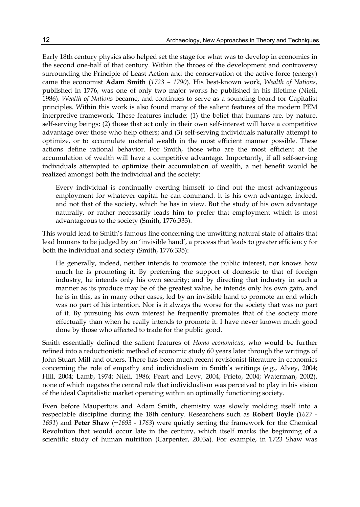Early 18th century physics also helped set the stage for what was to develop in economics in the second one-half of that century. Within the throes of the development and controversy surrounding the Principle of Least Action and the conservation of the active force (energy) came the economist **Adam Smith** (*1723 – 1790*). His best-known work, *Wealth of Nations*, published in 1776, was one of only two major works he published in his lifetime (Nieli, 1986). *Wealth of Nations* became, and continues to serve as a sounding board for Capitalist principles. Within this work is also found many of the salient features of the modern PEM interpretive framework. These features include: (1) the belief that humans are, by nature, self-serving beings; (2) those that act only in their own self-interest will have a competitive advantage over those who help others; and (3) self-serving individuals naturally attempt to optimize, or to accumulate material wealth in the most efficient manner possible. These actions define rational behavior. For Smith, those who are the most efficient at the accumulation of wealth will have a competitive advantage. Importantly, if all self-serving individuals attempted to optimize their accumulation of wealth, a net benefit would be realized amongst both the individual and the society:

Every individual is continually exerting himself to find out the most advantageous employment for whatever capital he can command. It is his own advantage, indeed, and not that of the society, which he has in view. But the study of his own advantage naturally, or rather necessarily leads him to prefer that employment which is most advantageous to the society (Smith, 1776:333).

This would lead to Smith's famous line concerning the unwitting natural state of affairs that lead humans to be judged by an 'invisible hand', a process that leads to greater efficiency for both the individual and society (Smith, 1776:335):

He generally, indeed, neither intends to promote the public interest, nor knows how much he is promoting it. By preferring the support of domestic to that of foreign industry, he intends only his own security; and by directing that industry in such a manner as its produce may be of the greatest value, he intends only his own gain, and he is in this, as in many other cases, led by an invisible hand to promote an end which was no part of his intention. Nor is it always the worse for the society that was no part of it. By pursuing his own interest he frequently promotes that of the society more effectually than when he really intends to promote it. I have never known much good done by those who affected to trade for the public good.

Smith essentially defined the salient features of *Homo economicus*, who would be further refined into a reductionistic method of economic study 60 years later through the writings of John Stuart Mill and others. There has been much recent revisionist literature in economics concerning the role of empathy and individualism in Smith's writings (e.g., Alvey, 2004; Hill, 2004; Lamb, 1974; Nieli, 1986; Peart and Levy, 2004; Prieto, 2004; Waterman, 2002), none of which negates the central role that individualism was perceived to play in his vision of the ideal Capitalistic market operating within an optimally functioning society.

Even before Maupertuis and Adam Smith, chemistry was slowly molding itself into a respectable discipline during the 18th century. Researchers such as **Robert Boyle** (*1627 - 1691*) and **Peter Shaw** (*~1693 - 1763*) were quietly setting the framework for the Chemical Revolution that would occur late in the century, which itself marks the beginning of a scientific study of human nutrition (Carpenter, 2003a). For example, in 1723 Shaw was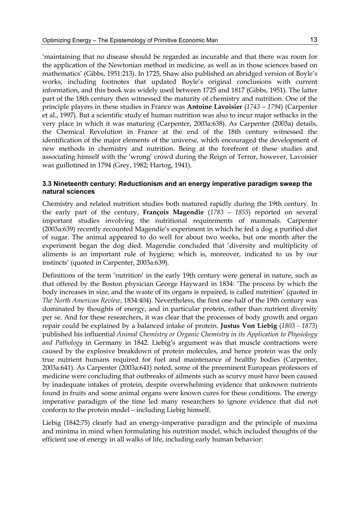'maintaining that no disease should be regarded as incurable and that there was room for the application of the Newtonian method in medicine, as well as in those sciences based on mathematics' (Gibbs, 1951:213). In 1725, Shaw also published an abridged version of Boyle's works, including footnotes that updated Boyle's original conclusions with current information, and this book was widely used between 1725 and 1817 (Gibbs, 1951). The latter part of the 18th century then witnessed the maturity of chemistry and nutrition. One of the principle players in these studies in France was **Antoine Lavoisier** (*1743 – 1794*) (Carpenter et al., 1997). But a scientific study of human nutrition was also to incur major setbacks in the very place in which it was maturing (Carpenter, 2003a:638). As Carpenter (2003a) details, the Chemical Revolution in France at the end of the 18th century witnessed the identification of the major elements of the universe, which encouraged the development of new methods in chemistry and nutrition. Being at the forefront of these studies and associating himself with the 'wrong' crowd during the Reign of Terror, however, Lavoisier was guillotined in 1794 (Grey, 1982; Hartog, 1941).

#### **3.3 Nineteenth century: Reductionism and an energy imperative paradigm sweep the natural sciences**

Chemistry and related nutrition studies both matured rapidly during the 19th century. In the early part of the century, **François Magendie** (*1783 – 1855*) reported on several important studies involving the nutritional requirements of mammals. Carpenter (2003a:639) recently recounted Magendie's experiment in which he fed a dog a purified diet of sugar. The animal appeared to do well for about two weeks, but one month after the experiment began the dog died. Magendie concluded that 'diversity and multiplicity of aliments is an important rule of hygiene; which is, moreover, indicated to us by our instincts' (quoted in Carpenter, 2003a:639).

Definitions of the term 'nutrition' in the early 19th century were general in nature, such as that offered by the Boston physician George Hayward in 1834: 'The process by which the body increases in size, and the waste of its organs is repaired, is called nutrition' (quoted in *The North American Review*, 1834:404). Nevertheless, the first one-half of the 19th century was dominated by thoughts of energy, and in particular protein, rather than nutrient diversity per se. And for these researchers, it was clear that the processes of body growth and organ repair could be explained by a balanced intake of protein. **Justus Von Liebig** (*1803 - 1873*) published his influential *Animal Chemistry or Organic Chemistry in its Application to Physiology and Pathology* in Germany in 1842. Liebig's argument was that muscle contractions were caused by the explosive breakdown of protein molecules, and hence protein was the only true nutrient humans required for fuel and maintenance of healthy bodies (Carpenter, 2003a:641). As Carpenter (2003a:641) noted, some of the preeminent European professors of medicine were concluding that outbreaks of ailments such as scurvy must have been caused by inadequate intakes of protein, despite overwhelming evidence that unknown nutrients found in fruits and some animal organs were known cures for these conditions. The energy imperative paradigm of the time led many researchers to ignore evidence that did not conform to the protein model – including Liebig himself.

Liebig (1842:75) clearly had an energy-imperative paradigm and the principle of maxima and minima in mind when formulating his nutrition model, which included thoughts of the efficient use of energy in all walks of life, including early human behavior: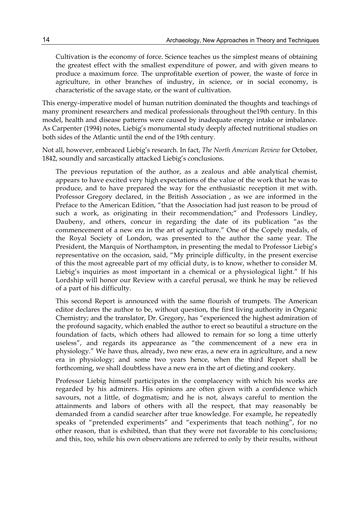Cultivation is the economy of force. Science teaches us the simplest means of obtaining the greatest effect with the smallest expenditure of power, and with given means to produce a maximum force. The unprofitable exertion of power, the waste of force in agriculture, in other branches of industry, in science, or in social economy, is characteristic of the savage state, or the want of cultivation.

This energy-imperative model of human nutrition dominated the thoughts and teachings of many prominent researchers and medical professionals throughout the19th century. In this model, health and disease patterns were caused by inadequate energy intake or imbalance. As Carpenter (1994) notes, Liebig's monumental study deeply affected nutritional studies on both sides of the Atlantic until the end of the 19th century.

Not all, however, embraced Liebig's research. In fact, *The North American Review* for October, 1842, soundly and sarcastically attacked Liebig's conclusions.

The previous reputation of the author, as a zealous and able analytical chemist, appears to have excited very high expectations of the value of the work that he was to produce, and to have prepared the way for the enthusiastic reception it met with. Professor Gregory declared, in the British Association , as we are informed in the Preface to the American Edition, "that the Association had just reason to be proud of such a work, as originating in their recommendation;" and Professors Lindley, Daubeny, and others, concur in regarding the date of its publication "as the commencement of a new era in the art of agriculture." One of the Copely medals, of the Royal Society of London, was presented to the author the same year. The President, the Marquis of Northampton, in presenting the medal to Professor Liebig's representative on the occasion, said, "My principle difficulty, in the present exercise of this the most agreeable part of my official duty, is to know, whether to consider M. Liebig's inquiries as most important in a chemical or a physiological light." If his Lordship will honor our Review with a careful perusal, we think he may be relieved of a part of his difficulty.

This second Report is announced with the same flourish of trumpets. The American editor declares the author to be, without question, the first living authority in Organic Chemistry; and the translator, Dr. Gregory, has "experienced the highest admiration of the profound sagacity, which enabled the author to erect so beautiful a structure on the foundation of facts, which others had allowed to remain for so long a time utterly useless", and regards its appearance as "the commencement of a new era in physiology." We have thus, already, two new eras, a new era in agriculture, and a new era in physiology; and some two years hence, when the third Report shall be forthcoming, we shall doubtless have a new era in the art of dieting and cookery.

Professor Liebig himself participates in the complacency with which his works are regarded by his admirers. His opinions are often given with a confidence which savours, not a little, of dogmatism; and he is not, always careful to mention the attainments and labors of others with all the respect, that may reasonably be demanded from a candid searcher after true knowledge. For example, he repeatedly speaks of "pretended experiments" and "experiments that teach nothing", for no other reason, that is exhibited, than that they were not favorable to his conclusions; and this, too, while his own observations are referred to only by their results, without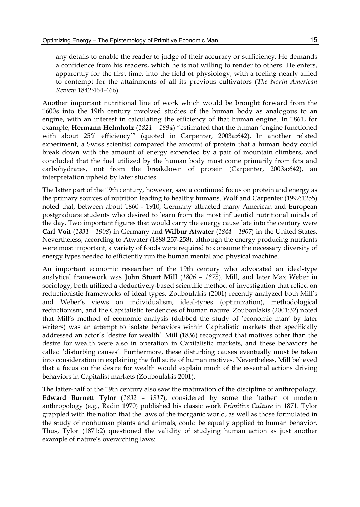any details to enable the reader to judge of their accuracy or sufficiency. He demands a confidence from his readers, which he is not willing to render to others. He enters, apparently for the first time, into the field of physiology, with a feeling nearly allied to contempt for the attainments of all its previous cultivators (*The North American Review* 1842:464-466).

Another important nutritional line of work which would be brought forward from the 1600s into the 19th century involved studies of the human body as analogous to an engine, with an interest in calculating the efficiency of that human engine. In 1861, for example, **Hermann Helmholz** (*1821 – 1894*) "estimated that the human 'engine functioned with about 25% efficiency'" (quoted in Carpenter, 2003a:642). In another related experiment, a Swiss scientist compared the amount of protein that a human body could break down with the amount of energy expended by a pair of mountain climbers, and concluded that the fuel utilized by the human body must come primarily from fats and carbohydrates, not from the breakdown of protein (Carpenter, 2003a:642), an interpretation upheld by later studies.

The latter part of the 19th century, however, saw a continued focus on protein and energy as the primary sources of nutrition leading to healthy humans. Wolf and Carpenter (1997:1255) noted that, between about 1860 - 1910, Germany attracted many American and European postgraduate students who desired to learn from the most influential nutritional minds of the day. Two important figures that would carry the energy cause late into the century were **Carl Voit** (*1831 - 1908*) in Germany and **Wilbur Atwater** (*1844 - 1907*) in the United States. Nevertheless, according to Atwater (1888:257-258), although the energy producing nutrients were most important, a variety of foods were required to consume the necessary diversity of energy types needed to efficiently run the human mental and physical machine.

An important economic researcher of the 19th century who advocated an ideal-type analytical framework was **John Stuart Mill** (*1806 – 1873*). Mill, and later Max Weber in sociology, both utilized a deductively-based scientific method of investigation that relied on reductionistic frameworks of ideal types. Zouboulakis (2001) recently analyzed both Mill's and Weber's views on individualism, ideal-types (optimization), methodological reductionism, and the Capitalistic tendencies of human nature. Zouboulakis (2001:32) noted that Mill's method of economic analysis (dubbed the study of 'economic man' by later writers) was an attempt to isolate behaviors within Capitalistic markets that specifically addressed an actor's 'desire for wealth'. Mill (1836) recognized that motives other than the desire for wealth were also in operation in Capitalistic markets, and these behaviors he called 'disturbing causes'. Furthermore, these disturbing causes eventually must be taken into consideration in explaining the full suite of human motives. Nevertheless, Mill believed that a focus on the desire for wealth would explain much of the essential actions driving behaviors in Capitalist markets (Zouboulakis 2001).

The latter-half of the 19th century also saw the maturation of the discipline of anthropology. **Edward Burnett Tylor** (*1832 – 1917*), considered by some the 'father' of modern anthropology (e.g., Radin 1970) published his classic work *Primitive Culture* in 1871. Tylor grappled with the notion that the laws of the inorganic world, as well as those formulated in the study of nonhuman plants and animals, could be equally applied to human behavior. Thus, Tylor (1871:2) questioned the validity of studying human action as just another example of nature's overarching laws: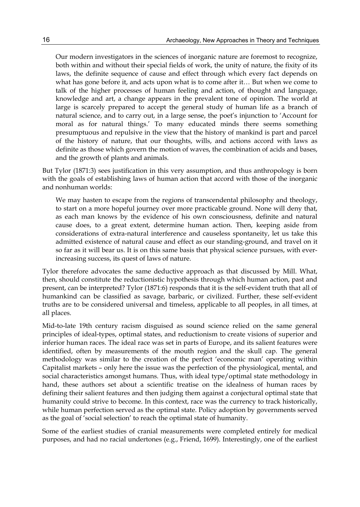Our modern investigators in the sciences of inorganic nature are foremost to recognize, both within and without their special fields of work, the unity of nature, the fixity of its laws, the definite sequence of cause and effect through which every fact depends on what has gone before it, and acts upon what is to come after it… But when we come to talk of the higher processes of human feeling and action, of thought and language, knowledge and art, a change appears in the prevalent tone of opinion. The world at large is scarcely prepared to accept the general study of human life as a branch of natural science, and to carry out, in a large sense, the poet's injunction to 'Account for moral as for natural things.' To many educated minds there seems something presumptuous and repulsive in the view that the history of mankind is part and parcel of the history of nature, that our thoughts, wills, and actions accord with laws as definite as those which govern the motion of waves, the combination of acids and bases, and the growth of plants and animals.

But Tylor (1871:3) sees justification in this very assumption, and thus anthropology is born with the goals of establishing laws of human action that accord with those of the inorganic and nonhuman worlds:

We may hasten to escape from the regions of transcendental philosophy and theology, to start on a more hopeful journey over more practicable ground. None will deny that, as each man knows by the evidence of his own consciousness, definite and natural cause does, to a great extent, determine human action. Then, keeping aside from considerations of extra-natural interference and causeless spontaneity, let us take this admitted existence of natural cause and effect as our standing-ground, and travel on it so far as it will bear us. It is on this same basis that physical science pursues, with everincreasing success, its quest of laws of nature.

Tylor therefore advocates the same deductive approach as that discussed by Mill. What, then, should constitute the reductionistic hypothesis through which human action, past and present, can be interpreted? Tylor (1871:6) responds that it is the self-evident truth that all of humankind can be classified as savage, barbaric, or civilized. Further, these self-evident truths are to be considered universal and timeless, applicable to all peoples, in all times, at all places.

Mid-to-late 19th century racism disguised as sound science relied on the same general principles of ideal-types, optimal states, and reductionism to create visions of superior and inferior human races. The ideal race was set in parts of Europe, and its salient features were identified, often by measurements of the mouth region and the skull cap. The general methodology was similar to the creation of the perfect 'economic man' operating within Capitalist markets – only here the issue was the perfection of the physiological, mental, and social characteristics amongst humans. Thus, with ideal type/optimal state methodology in hand, these authors set about a scientific treatise on the idealness of human races by defining their salient features and then judging them against a conjectural optimal state that humanity could strive to become. In this context, race was the currency to track historically, while human perfection served as the optimal state. Policy adoption by governments served as the goal of 'social selection' to reach the optimal state of humanity.

Some of the earliest studies of cranial measurements were completed entirely for medical purposes, and had no racial undertones (e.g., Friend, 1699). Interestingly, one of the earliest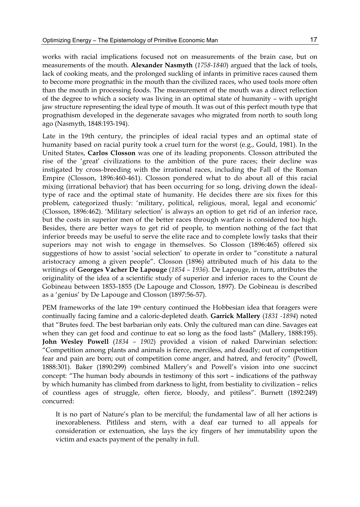works with racial implications focused not on measurements of the brain case, but on measurements of the mouth. **Alexander Nasmyth** (*1758-1840*) argued that the lack of tools, lack of cooking meats, and the prolonged suckling of infants in primitive races caused them to become more prognathic in the mouth than the civilized races, who used tools more often than the mouth in processing foods. The measurement of the mouth was a direct reflection of the degree to which a society was living in an optimal state of humanity – with upright jaw structure representing the ideal type of mouth. It was out of this perfect mouth type that prognathism developed in the degenerate savages who migrated from north to south long ago (Nasmyth, 1848:193-194).

Late in the 19th century, the principles of ideal racial types and an optimal state of humanity based on racial purity took a cruel turn for the worst (e.g., Gould, 1981). In the United States, **Carlos Closson** was one of its leading proponents. Closson attributed the rise of the 'great' civilizations to the ambition of the pure races; their decline was instigated by cross-breeding with the irrational races, including the Fall of the Roman Empire (Closson, 1896:460-461). Closson pondered what to do about all of this racial mixing (irrational behavior) that has been occurring for so long, driving down the idealtype of race and the optimal state of humanity. He decides there are six fixes for this problem, categorized thusly: 'military, political, religious, moral, legal and economic' (Closson, 1896:462). 'Military selection' is always an option to get rid of an inferior race, but the costs in superior men of the better races through warfare is considered too high. Besides, there are better ways to get rid of people, to mention nothing of the fact that inferior breeds may be useful to serve the elite race and to complete lowly tasks that their superiors may not wish to engage in themselves. So Closson (1896:465) offered six suggestions of how to assist 'social selection' to operate in order to "constitute a natural aristocracy among a given people". Closson (1896) attributed much of his data to the writings of **Georges Vacher De Lapouge** (*1854 – 1936*). De Lapouge, in turn, attributes the originality of the idea of a scientific study of superior and inferior races to the Count de Gobineau between 1853-1855 (De Lapouge and Closson, 1897). De Gobineau is described as a 'genius' by De Lapouge and Closson (1897:56-57).

PEM frameworks of the late 19<sup>th</sup> century continued the Hobbesian idea that foragers were continually facing famine and a caloric-depleted death. **Garrick Mallery** (*1831 -1894*) noted that "Brutes feed. The best barbarian only eats. Only the cultured man can dine. Savages eat when they can get food and continue to eat so long as the food lasts" (Mallery, 1888:195). **John Wesley Powell** (*1834 – 1902*) provided a vision of naked Darwinian selection: "Competition among plants and animals is fierce, merciless, and deadly; out of competition fear and pain are born; out of competition come anger, and hatred, and ferocity" (Powell, 1888:301). Baker (1890:299) combined Mallery's and Powell's vision into one succinct concept: "The human body abounds in testimony of this sort – indications of the pathway by which humanity has climbed from darkness to light, from bestiality to civilization – relics of countless ages of struggle, often fierce, bloody, and pitiless". Burnett (1892:249) concurred:

It is no part of Nature's plan to be merciful; the fundamental law of all her actions is inexorableness. Pitliless and stern, with a deaf ear turned to all appeals for consideration or extenuation, she lays the icy fingers of her immutability upon the victim and exacts payment of the penalty in full.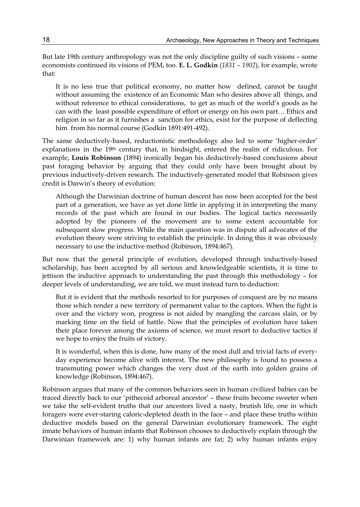But late 19th century anthropology was not the only discipline guilty of such visions – some economists continued its visions of PEM, too. **E. L. Godkin** (*1831 – 1902*), for example, wrote that:

It is no less true that political economy, no matter how defined, cannot be taught without assuming the existence of an Economic Man who desires above all things, and without reference to ethical considerations, to get as much of the world's goods as he can with the least possible expenditure of effort or energy on his own part… Ethics and religion in so far as it furnishes a sanction for ethics, exist for the purpose of deflecting him from his normal course (Godkin 1891:491-492).

The same deductively-based, reductionistic methodology also led to some 'higher-order' explanations in the 19th century that, in hindsight, entered the realm of ridiculous. For example, **Louis Robinson** (1894) ironically began his deductively-based conclusions about past foraging behavior by arguing that they could only have been brought about by previous inductively-driven research. The inductively-generated model that Robinson gives credit is Darwin's theory of evolution:

Although the Darwinian doctrine of human descent has now been accepted for the best part of a generation, we have as yet done little in applying it in interpreting the many records of the past which are found in our bodies. The logical tactics necessarily adopted by the pioneers of the movement are to some extent accountable for subsequent slow progress. While the main question was in dispute all advocates of the evolution theory were striving to establish the principle. In doing this it was obviously necessary to use the inductive method (Robinson, 1894:467).

But now that the general principle of evolution, developed through inductively-based scholarship, has been accepted by all serious and knowledgeable scientists, it is time to jettison the inductive approach to understanding the past through this methodology – for deeper levels of understanding, we are told, we must instead turn to deduction:

But it is evident that the methods resorted to for purposes of conquest are by no means those which render a new territory of permanent value to the captors. When the fight is over and the victory won, progress is not aided by mangling the carcass slain, or by marking time on the field of battle. Now that the principles of evolution have taken their place forever among the axioms of science, we must resort to deductive tactics if we hope to enjoy the fruits of victory.

It is wonderful, when this is done, how many of the most dull and trivial facts of everyday experience become alive with interest. The new philosophy is found to possess a transmuting power which changes the very dust of the earth into golden grains of knowledge (Robinson, 1894:467).

Robinson argues that many of the common behaviors seen in human civilized babies can be traced directly back to our 'pithecoid arboreal ancestor' – these fruits become sweeter when we take the self-evident truths that our ancestors lived a nasty, brutish life, one in which foragers were ever-staring caloric-depleted death in the face – and place these truths within deductive models based on the general Darwinian evolutionary framework. The eight innate behaviors of human infants that Robinson chooses to deductively explain through the Darwinian framework are: 1) why human infants are fat; 2) why human infants enjoy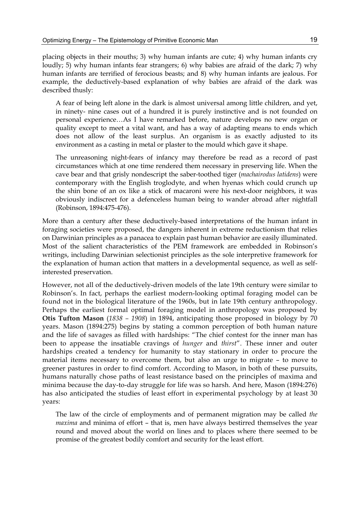placing objects in their mouths; 3) why human infants are cute; 4) why human infants cry loudly; 5) why human infants fear strangers; 6) why babies are afraid of the dark; 7) why human infants are terrified of ferocious beasts; and 8) why human infants are jealous. For example, the deductively-based explanation of why babies are afraid of the dark was described thusly:

A fear of being left alone in the dark is almost universal among little children, and yet, in ninety- nine cases out of a hundred it is purely instinctive and is not founded on personal experience…As I have remarked before, nature develops no new organ or quality except to meet a vital want, and has a way of adapting means to ends which does not allow of the least surplus. An organism is as exactly adjusted to its environment as a casting in metal or plaster to the mould which gave it shape.

The unreasoning night-fears of infancy may therefore be read as a record of past circumstances which at one time rendered them necessary in preserving life. When the cave bear and that grisly nondescript the saber-toothed tiger (*machairodus latidens*) were contemporary with the English troglodyte, and when hyenas which could crunch up the shin bone of an ox like a stick of macaroni were his next-door neighbors, it was obviously indiscreet for a defenceless human being to wander abroad after nightfall (Robinson, 1894:475-476).

More than a century after these deductively-based interpretations of the human infant in foraging societies were proposed, the dangers inherent in extreme reductionism that relies on Darwinian principles as a panacea to explain past human behavior are easily illuminated. Most of the salient characteristics of the PEM framework are embedded in Robinson's writings, including Darwinian selectionist principles as the sole interpretive framework for the explanation of human action that matters in a developmental sequence, as well as selfinterested preservation.

However, not all of the deductively-driven models of the late 19th century were similar to Robinson's. In fact, perhaps the earliest modern-looking optimal foraging model can be found not in the biological literature of the 1960s, but in late 19th century anthropology. Perhaps the earliest formal optimal foraging model in anthropology was proposed by **Otis Tufton Mason** (*1838 – 1908*) in 1894, anticipating those proposed in biology by 70 years. Mason (1894:275) begins by stating a common perception of both human nature and the life of savages as filled with hardships: "The chief contest for the inner man has been to appease the insatiable cravings of *hunger* and *thirst*". These inner and outer hardships created a tendency for humanity to stay stationary in order to procure the material items necessary to overcome them, but also an urge to migrate – to move to greener pastures in order to find comfort. According to Mason, in both of these pursuits, humans naturally chose paths of least resistance based on the principles of maxima and minima because the day-to-day struggle for life was so harsh. And here, Mason (1894:276) has also anticipated the studies of least effort in experimental psychology by at least 30 years:

The law of the circle of employments and of permanent migration may be called *the maxima* and minima of effort – that is, men have always bestirred themselves the year round and moved about the world on lines and to places where there seemed to be promise of the greatest bodily comfort and security for the least effort.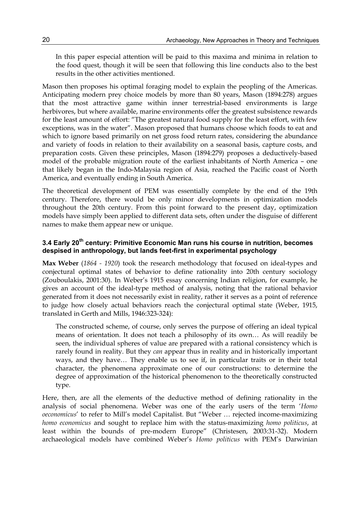In this paper especial attention will be paid to this maxima and minima in relation to the food quest, though it will be seen that following this line conducts also to the best results in the other activities mentioned.

Mason then proposes his optimal foraging model to explain the peopling of the Americas. Anticipating modern prey choice models by more than 80 years, Mason (1894:278) argues that the most attractive game within inner terrestrial-based environments is large herbivores, but where available, marine environments offer the greatest subsistence rewards for the least amount of effort: "The greatest natural food supply for the least effort, with few exceptions, was in the water". Mason proposed that humans choose which foods to eat and which to ignore based primarily on net gross food return rates, considering the abundance and variety of foods in relation to their availability on a seasonal basis, capture costs, and preparation costs. Given these principles, Mason (1894:279) proposes a deductively-based model of the probable migration route of the earliest inhabitants of North America – one that likely began in the Indo-Malaysia region of Asia, reached the Pacific coast of North America, and eventually ending in South America.

The theoretical development of PEM was essentially complete by the end of the 19th century. Therefore, there would be only minor developments in optimization models throughout the 20th century. From this point forward to the present day, optimization models have simply been applied to different data sets, often under the disguise of different names to make them appear new or unique.

## 3.4 Early 20<sup>th</sup> century: Primitive Economic Man runs his course in nutrition, becomes **despised in anthropology, but lands feet-first in experimental psychology**

**Max Weber** (*1864 - 1920*) took the research methodology that focused on ideal-types and conjectural optimal states of behavior to define rationality into 20th century sociology (Zouboulakis, 2001:30). In Weber's 1915 essay concerning Indian religion, for example, he gives an account of the ideal-type method of analysis, noting that the rational behavior generated from it does not necessarily exist in reality, rather it serves as a point of reference to judge how closely actual behaviors reach the conjectural optimal state (Weber, 1915, translated in Gerth and Mills, 1946:323-324):

The constructed scheme, of course, only serves the purpose of offering an ideal typical means of orientation. It does not teach a philosophy of its own… As will readily be seen, the individual spheres of value are prepared with a rational consistency which is rarely found in reality. But they *can* appear thus in reality and in historically important ways, and they have… They enable us to see if, in particular traits or in their total character, the phenomena approximate one of our constructions: to determine the degree of approximation of the historical phenomenon to the theoretically constructed type.

Here, then, are all the elements of the deductive method of defining rationality in the analysis of social phenomena. Weber was one of the early users of the term '*Homo oeconomicus*' to refer to Mill's model Capitalist. But "Weber … rejected income-maximizing *homo economicus* and sought to replace him with the status-maximizing *homo politicus*, at least within the bounds of pre-modern Europe" (Christesen, 2003:31-32). Modern archaeological models have combined Weber's *Homo politicus* with PEM's Darwinian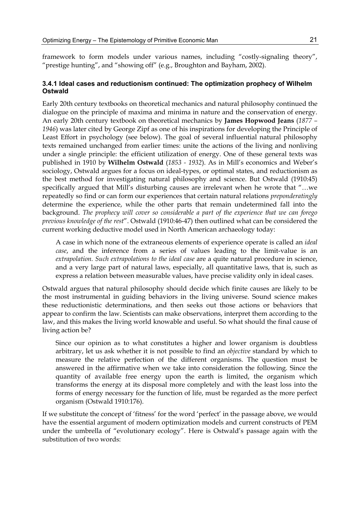framework to form models under various names, including "costly-signaling theory", "prestige hunting", and "showing off" (e.g., Broughton and Bayham, 2002).

## **3.4.1 Ideal cases and reductionism continued: The optimization prophecy of Wilhelm Ostwald**

Early 20th century textbooks on theoretical mechanics and natural philosophy continued the dialogue on the principle of maxima and minima in nature and the conservation of energy. An early 20th century textbook on theoretical mechanics by **James Hopwood Jeans** (*1877 – 1946*) was later cited by George Zipf as one of his inspirations for developing the Principle of Least Effort in psychology (see below). The goal of several influential natural philosophy texts remained unchanged from earlier times: unite the actions of the living and nonliving under a single principle: the efficient utilization of energy. One of these general texts was published in 1910 by **Wilhelm Ostwald** (*1853 - 1932*). As in Mill's economics and Weber's sociology, Ostwald argues for a focus on ideal-types, or optimal states, and reductionism as the best method for investigating natural philosophy and science. But Ostwald (1910:45) specifically argued that Mill's disturbing causes are irrelevant when he wrote that "…we repeatedly so find or can form our experiences that certain natural relations *preponderatingly* determine the experience, while the other parts that remain undetermined fall into the background. *The prophecy will cover so considerable a part of the experience that we can forego previous knowledge of the rest*". Ostwald (1910:46-47) then outlined what can be considered the current working deductive model used in North American archaeology today:

A case in which none of the extraneous elements of experience operate is called an *ideal case*, and the inference from a series of values leading to the limit-value is an *extrapolation. Such extrapolations to the ideal case* are a quite natural procedure in science, and a very large part of natural laws, especially, all quantitative laws, that is, such as express a relation between measurable values, have precise validity only in ideal cases.

Ostwald argues that natural philosophy should decide which finite causes are likely to be the most instrumental in guiding behaviors in the living universe. Sound science makes these reductionistic determinations, and then seeks out those actions or behaviors that appear to confirm the law. Scientists can make observations, interpret them according to the law, and this makes the living world knowable and useful. So what should the final cause of living action be?

Since our opinion as to what constitutes a higher and lower organism is doubtless arbitrary, let us ask whether it is not possible to find an *objective* standard by which to measure the relative perfection of the different organisms. The question must be answered in the affirmative when we take into consideration the following. Since the quantity of available free energy upon the earth is limited, the organism which transforms the energy at its disposal more completely and with the least loss into the forms of energy necessary for the function of life, must be regarded as the more perfect organism (Ostwald 1910:176).

If we substitute the concept of 'fitness' for the word 'perfect' in the passage above, we would have the essential argument of modern optimization models and current constructs of PEM under the umbrella of "evolutionary ecology". Here is Ostwald's passage again with the substitution of two words: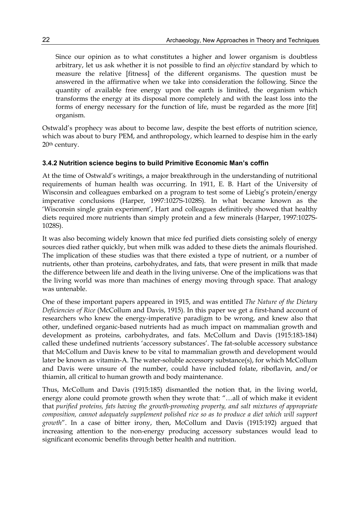Since our opinion as to what constitutes a higher and lower organism is doubtless arbitrary, let us ask whether it is not possible to find an *objective* standard by which to measure the relative [fitness] of the different organisms. The question must be answered in the affirmative when we take into consideration the following. Since the quantity of available free energy upon the earth is limited, the organism which transforms the energy at its disposal more completely and with the least loss into the forms of energy necessary for the function of life, must be regarded as the more [fit] organism.

Ostwald's prophecy was about to become law, despite the best efforts of nutrition science, which was about to bury PEM, and anthropology, which learned to despise him in the early 20th century.

# **3.4.2 Nutrition science begins to build Primitive Economic Man's coffin**

At the time of Ostwald's writings, a major breakthrough in the understanding of nutritional requirements of human health was occurring. In 1911, E. B. Hart of the University of Wisconsin and colleagues embarked on a program to test some of Liebig's protein/energy imperative conclusions (Harper, 1997:1027S-1028S). In what became known as the 'Wisconsin single grain experiment', Hart and colleagues definitively showed that healthy diets required more nutrients than simply protein and a few minerals (Harper, 1997:1027S-1028S).

It was also becoming widely known that mice fed purified diets consisting solely of energy sources died rather quickly, but when milk was added to these diets the animals flourished. The implication of these studies was that there existed a type of nutrient, or a number of nutrients, other than proteins, carbohydrates, and fats, that were present in milk that made the difference between life and death in the living universe. One of the implications was that the living world was more than machines of energy moving through space. That analogy was untenable.

One of these important papers appeared in 1915, and was entitled *The Nature of the Dietary Deficiencies of Rice* (McCollum and Davis, 1915). In this paper we get a first-hand account of researchers who knew the energy-imperative paradigm to be wrong, and knew also that other, undefined organic-based nutrients had as much impact on mammalian growth and development as proteins, carbohydrates, and fats. McCollum and Davis (1915:183-184) called these undefined nutrients 'accessory substances'. The fat-soluble accessory substance that McCollum and Davis knew to be vital to mammalian growth and development would later be known as vitamin-A. The water-soluble accessory substance(s), for which McCollum and Davis were unsure of the number, could have included folate, riboflavin, and/or thiamin, all critical to human growth and body maintenance.

Thus, McCollum and Davis (1915:185) dismantled the notion that, in the living world, energy alone could promote growth when they wrote that: "…all of which make it evident that *purified proteins, fats having the growth-promoting property, and salt mixtures of appropriate composition, cannot adequately supplement polished rice so as to produce a diet which will support growth*". In a case of bitter irony, then, McCollum and Davis (1915:192) argued that increasing attention to the non-energy producing accessory substances would lead to significant economic benefits through better health and nutrition.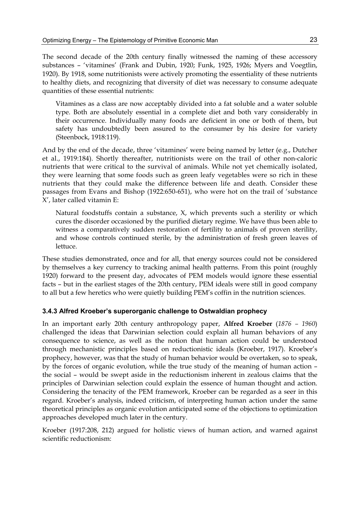The second decade of the 20th century finally witnessed the naming of these accessory substances – 'vitamines' (Frank and Dubin, 1920; Funk, 1925, 1926; Myers and Voegtlin, 1920). By 1918, some nutritionists were actively promoting the essentiality of these nutrients to healthy diets, and recognizing that diversity of diet was necessary to consume adequate quantities of these essential nutrients:

Vitamines as a class are now acceptably divided into a fat soluble and a water soluble type. Both are absolutely essential in a complete diet and both vary considerably in their occurrence. Individually many foods are deficient in one or both of them, but safety has undoubtedly been assured to the consumer by his desire for variety (Steenbock, 1918:119).

And by the end of the decade, three 'vitamines' were being named by letter (e.g., Dutcher et al., 1919:184). Shortly thereafter, nutritionists were on the trail of other non-caloric nutrients that were critical to the survival of animals. While not yet chemically isolated, they were learning that some foods such as green leafy vegetables were so rich in these nutrients that they could make the difference between life and death. Consider these passages from Evans and Bishop (1922:650-651), who were hot on the trail of 'substance X', later called vitamin E:

Natural foodstuffs contain a substance, X, which prevents such a sterility or which cures the disorder occasioned by the purified dietary regime. We have thus been able to witness a comparatively sudden restoration of fertility to animals of proven sterility, and whose controls continued sterile, by the administration of fresh green leaves of lettuce.

These studies demonstrated, once and for all, that energy sources could not be considered by themselves a key currency to tracking animal health patterns. From this point (roughly 1920) forward to the present day, advocates of PEM models would ignore these essential facts – but in the earliest stages of the 20th century, PEM ideals were still in good company to all but a few heretics who were quietly building PEM's coffin in the nutrition sciences.

## **3.4.3 Alfred Kroeber's superorganic challenge to Ostwaldian prophecy**

In an important early 20th century anthropology paper, **Alfred Kroeber** (*1876 – 1960*) challenged the ideas that Darwinian selection could explain all human behaviors of any consequence to science, as well as the notion that human action could be understood through mechanistic principles based on reductionistic ideals (Kroeber, 1917). Kroeber's prophecy, however, was that the study of human behavior would be overtaken, so to speak, by the forces of organic evolution, while the true study of the meaning of human action – the social – would be swept aside in the reductionism inherent in zealous claims that the principles of Darwinian selection could explain the essence of human thought and action. Considering the tenacity of the PEM framework, Kroeber can be regarded as a seer in this regard. Kroeber's analysis, indeed criticism, of interpreting human action under the same theoretical principles as organic evolution anticipated some of the objections to optimization approaches developed much later in the century.

Kroeber (1917:208, 212) argued for holistic views of human action, and warned against scientific reductionism: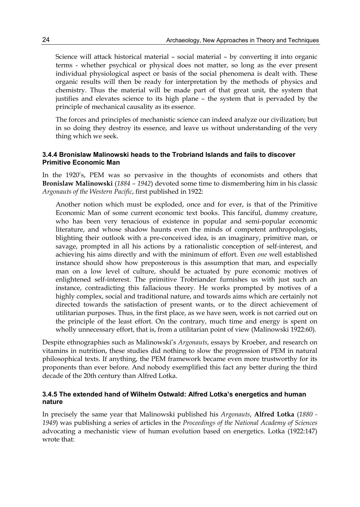Science will attack historical material – social material – by converting it into organic terms - whether psychical or physical does not matter, so long as the ever present individual physiological aspect or basis of the social phenomena is dealt with. These organic results will then be ready for interpretation by the methods of physics and chemistry. Thus the material will be made part of that great unit, the system that justifies and elevates science to its high plane – the system that is pervaded by the principle of mechanical causality as its essence.

The forces and principles of mechanistic science can indeed analyze our civilization; but in so doing they destroy its essence, and leave us without understanding of the very thing which we seek.

## **3.4.4 Bronislaw Malinowski heads to the Trobriand Islands and fails to discover Primitive Economic Man**

In the 1920's, PEM was so pervasive in the thoughts of economists and others that **Bronislaw Malinowski** (*1884 – 1942*) devoted some time to dismembering him in his classic *Argonauts of the Western Pacific*, first published in 1922:

Another notion which must be exploded, once and for ever, is that of the Primitive Economic Man of some current economic text books. This fanciful, dummy creature, who has been very tenacious of existence in popular and semi-popular economic literature, and whose shadow haunts even the minds of competent anthropologists, blighting their outlook with a pre-conceived idea, is an imaginary, primitive man, or savage, prompted in all his actions by a rationalistic conception of self-interest, and achieving his aims directly and with the minimum of effort. Even *one* well established instance should show how preposterous is this assumption that man, and especially man on a low level of culture, should be actuated by pure economic motives of enlightened self-interest. The primitive Trobriander furnishes us with just such an instance, contradicting this fallacious theory. He works prompted by motives of a highly complex, social and traditional nature, and towards aims which are certainly not directed towards the satisfaction of present wants, or to the direct achievement of utilitarian purposes. Thus, in the first place, as we have seen, work is not carried out on the principle of the least effort. On the contrary, much time and energy is spent on wholly unnecessary effort, that is, from a utilitarian point of view (Malinowski 1922:60).

Despite ethnographies such as Malinowski's *Argonauts*, essays by Kroeber, and research on vitamins in nutrition, these studies did nothing to slow the progression of PEM in natural philosophical texts. If anything, the PEM framework became even more trustworthy for its proponents than ever before. And nobody exemplified this fact any better during the third decade of the 20th century than Alfred Lotka.

## **3.4.5 The extended hand of Wilhelm Ostwald: Alfred Lotka's energetics and human nature**

In precisely the same year that Malinowski published his *Argonauts*, **Alfred Lotka** (*1880 - 1949*) was publishing a series of articles in the *Proceedings of the National Academy of Sciences* advocating a mechanistic view of human evolution based on energetics. Lotka (1922:147) wrote that: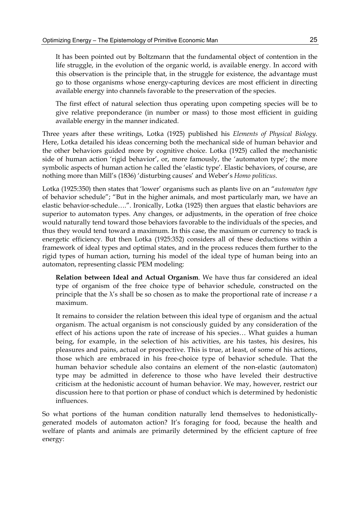It has been pointed out by Boltzmann that the fundamental object of contention in the life struggle, in the evolution of the organic world, is available energy. In accord with this observation is the principle that, in the struggle for existence, the advantage must go to those organisms whose energy-capturing devices are most efficient in directing available energy into channels favorable to the preservation of the species.

The first effect of natural selection thus operating upon competing species will be to give relative preponderance (in number or mass) to those most efficient in guiding available energy in the manner indicated.

Three years after these writings, Lotka (1925) published his *Elements of Physical Biology*. Here, Lotka detailed his ideas concerning both the mechanical side of human behavior and the other behaviors guided more by cognitive choice. Lotka (1925) called the mechanistic side of human action 'rigid behavior', or, more famously, the 'automaton type'; the more symbolic aspects of human action he called the 'elastic type'. Elastic behaviors, of course, are nothing more than Mill's (1836) 'disturbing causes' and Weber's *Homo politicus*.

Lotka (1925:350) then states that 'lower' organisms such as plants live on an "*automaton type* of behavior schedule"; "But in the higher animals, and most particularly man, we have an elastic behavior-schedule….". Ironically, Lotka (1925) then argues that elastic behaviors are superior to automaton types. Any changes, or adjustments, in the operation of free choice would naturally tend toward those behaviors favorable to the individuals of the species, and thus they would tend toward a maximum. In this case, the maximum or currency to track is energetic efficiency. But then Lotka (1925:352) considers all of these deductions within a framework of ideal types and optimal states, and in the process reduces them further to the rigid types of human action, turning his model of the ideal type of human being into an automaton, representing classic PEM modeling:

**Relation between Ideal and Actual Organism**. We have thus far considered an ideal type of organism of the free choice type of behavior schedule, constructed on the principle that the λ's shall be so chosen as to make the proportional rate of increase *r* a maximum.

It remains to consider the relation between this ideal type of organism and the actual organism. The actual organism is not consciously guided by any consideration of the effect of his actions upon the rate of increase of his species… What guides a human being, for example, in the selection of his activities, are his tastes, his desires, his pleasures and pains, actual or prospective. This is true, at least, of some of his actions, those which are embraced in his free-choice type of behavior schedule. That the human behavior schedule also contains an element of the non-elastic (automaton) type may be admitted in deference to those who have leveled their destructive criticism at the hedonistic account of human behavior. We may, however, restrict our discussion here to that portion or phase of conduct which is determined by hedonistic influences.

So what portions of the human condition naturally lend themselves to hedonisticallygenerated models of automaton action? It's foraging for food, because the health and welfare of plants and animals are primarily determined by the efficient capture of free energy: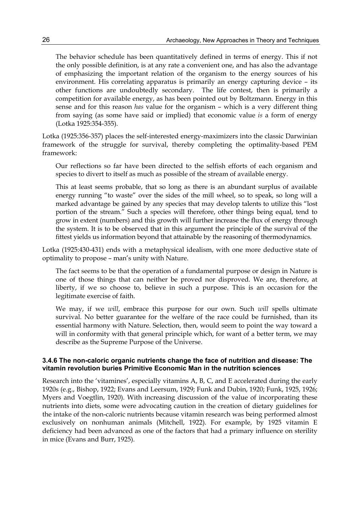The behavior schedule has been quantitatively defined in terms of energy. This if not the only possible definition, is at any rate a convenient one, and has also the advantage of emphasizing the important relation of the organism to the energy sources of his environment. His correlating apparatus is primarily an energy capturing device – its other functions are undoubtedly secondary. The life contest, then is primarily a competition for available energy, as has been pointed out by Boltzmann. Energy in this sense and for this reason *has* value for the organism – which is a very different thing from saying (as some have said or implied) that economic value *is* a form of energy (Lotka 1925:354-355).

Lotka (1925:356-357) places the self-interested energy-maximizers into the classic Darwinian framework of the struggle for survival, thereby completing the optimality-based PEM framework:

Our reflections so far have been directed to the selfish efforts of each organism and species to divert to itself as much as possible of the stream of available energy.

This at least seems probable, that so long as there is an abundant surplus of available energy running "to waste" over the sides of the mill wheel, so to speak, so long will a marked advantage be gained by any species that may develop talents to utilize this "lost portion of the stream." Such a species will therefore, other things being equal, tend to grow in extent (numbers) and this growth will further increase the flux of energy through the system. It is to be observed that in this argument the principle of the survival of the fittest yields us information beyond that attainable by the reasoning of thermodynamics.

Lotka (1925:430-431) ends with a metaphysical idealism, with one more deductive state of optimality to propose – man's unity with Nature.

The fact seems to be that the operation of a fundamental purpose or design in Nature is one of those things that can neither be proved nor disproved. We are, therefore, at liberty, if we so choose to, believe in such a purpose. This is an occasion for the legitimate exercise of faith.

We may, if we *will*, embrace this purpose for our own. Such *will* spells ultimate survival. No better guarantee for the welfare of the race could be furnished, than its essential harmony with Nature. Selection, then, would seem to point the way toward a will in conformity with that general principle which, for want of a better term, we may describe as the Supreme Purpose of the Universe.

#### **3.4.6 The non-caloric organic nutrients change the face of nutrition and disease: The vitamin revolution buries Primitive Economic Man in the nutrition sciences**

Research into the 'vitamines', especially vitamins A, B, C, and E accelerated during the early 1920s (e.g., Bishop, 1922; Evans and Leersum, 1929; Funk and Dubin, 1920; Funk, 1925, 1926; Myers and Voegtlin, 1920). With increasing discussion of the value of incorporating these nutrients into diets, some were advocating caution in the creation of dietary guidelines for the intake of the non-caloric nutrients because vitamin research was being performed almost exclusively on nonhuman animals (Mitchell, 1922). For example, by 1925 vitamin E deficiency had been advanced as one of the factors that had a primary influence on sterility in mice (Evans and Burr, 1925).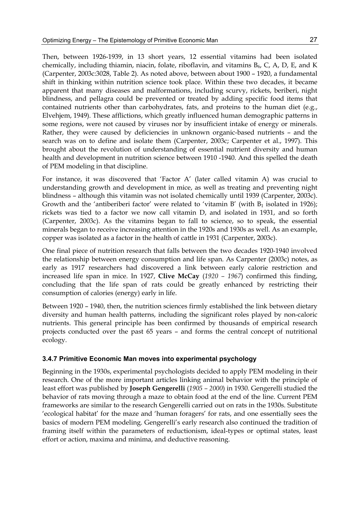Then, between 1926-1939, in 13 short years, 12 essential vitamins had been isolated chemically, including thiamin, niacin, folate, riboflavin, and vitamins  $B_6$ , C, A, D, E, and K (Carpenter, 2003c:3028, Table 2). As noted above, between about 1900 – 1920, a fundamental shift in thinking within nutrition science took place. Within these two decades, it became apparent that many diseases and malformations, including scurvy, rickets, beriberi, night blindness, and pellagra could be prevented or treated by adding specific food items that contained nutrients other than carbohydrates, fats, and proteins to the human diet (e.g., Elvehjem, 1949). These afflictions, which greatly influenced human demographic patterns in some regions, were not caused by viruses nor by insufficient intake of energy or minerals. Rather, they were caused by deficiencies in unknown organic-based nutrients – and the search was on to define and isolate them (Carpenter, 2003c; Carpenter et al., 1997). This brought about the revolution of understanding of essential nutrient diversity and human health and development in nutrition science between 1910 -1940. And this spelled the death of PEM modeling in that discipline.

For instance, it was discovered that 'Factor A' (later called vitamin A) was crucial to understanding growth and development in mice, as well as treating and preventing night blindness – although this vitamin was not isolated chemically until 1939 (Carpenter, 2003c). Growth and the 'antiberiberi factor' were related to 'vitamin B' (with  $B_1$  isolated in 1926); rickets was tied to a factor we now call vitamin D, and isolated in 1931, and so forth (Carpenter, 2003c). As the vitamins began to fall to science, so to speak, the essential minerals began to receive increasing attention in the 1920s and 1930s as well. As an example, copper was isolated as a factor in the health of cattle in 1931 (Carpenter, 2003c).

One final piece of nutrition research that falls between the two decades 1920-1940 involved the relationship between energy consumption and life span. As Carpenter (2003c) notes, as early as 1917 researchers had discovered a link between early calorie restriction and increased life span in mice. In 1927, **Clive McCay** (*1920 – 1967*) confirmed this finding, concluding that the life span of rats could be greatly enhanced by restricting their consumption of calories (energy) early in life.

Between 1920 – 1940, then, the nutrition sciences firmly established the link between dietary diversity and human health patterns, including the significant roles played by non-caloric nutrients. This general principle has been confirmed by thousands of empirical research projects conducted over the past 65 years – and forms the central concept of nutritional ecology.

# **3.4.7 Primitive Economic Man moves into experimental psychology**

Beginning in the 1930s, experimental psychologists decided to apply PEM modeling in their research. One of the more important articles linking animal behavior with the principle of least effort was published by **Joseph Gengerelli** (*1905 – 2000*) in 1930. Gengerelli studied the behavior of rats moving through a maze to obtain food at the end of the line. Current PEM frameworks are similar to the research Gengerelli carried out on rats in the 1930s. Substitute 'ecological habitat' for the maze and 'human foragers' for rats, and one essentially sees the basics of modern PEM modeling. Gengerelli's early research also continued the tradition of framing itself within the parameters of reductionism, ideal-types or optimal states, least effort or action, maxima and minima, and deductive reasoning.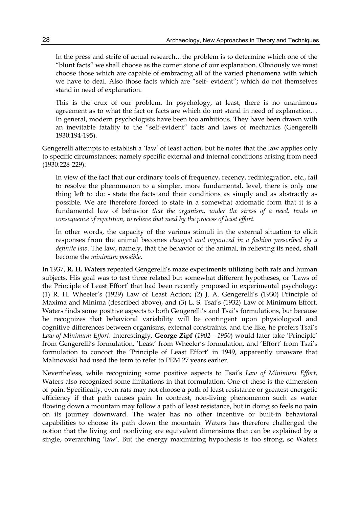In the press and strife of actual research…the problem is to determine which one of the "blunt facts" we shall choose as the corner stone of our explanation. Obviously we must choose those which are capable of embracing all of the varied phenomena with which we have to deal. Also those facts which are "self- evident"; which do not themselves stand in need of explanation.

This is the crux of our problem. In psychology, at least, there is no unanimous agreement as to what the fact or facts are which do not stand in need of explanation… In general, modern psychologists have been too ambitious. They have been drawn with an inevitable fatality to the "self-evident" facts and laws of mechanics (Gengerelli 1930:194-195).

Gengerelli attempts to establish a 'law' of least action, but he notes that the law applies only to specific circumstances; namely specific external and internal conditions arising from need (1930:228-229):

In view of the fact that our ordinary tools of frequency, recency, redintegration, etc., fail to resolve the phenomenon to a simpler, more fundamental, level, there is only one thing left to do: - state the facts and their conditions as simply and as abstractly as possible. We are therefore forced to state in a somewhat axiomatic form that it is a fundamental law of behavior *that the organism, under the stress of a need, tends in consequence of repetition, to relieve that need by the process of least effort.* 

In other words, the capacity of the various stimuli in the external situation to elicit responses from the animal becomes *changed and organized in a fashion prescribed by a definite law*. The law, namely, that the behavior of the animal, in relieving its need, shall become the *minimum possible*.

In 1937, **R. H. Waters** repeated Gengerelli's maze experiments utilizing both rats and human subjects. His goal was to test three related but somewhat different hypotheses, or 'Laws of the Principle of Least Effort' that had been recently proposed in experimental psychology: (1) R. H. Wheeler's (1929) Law of Least Action; (2) J. A. Gengerelli's (1930) Principle of Maxima and Minima (described above), and (3) L. S. Tsai's (1932) Law of Minimum Effort. Waters finds some positive aspects to both Gengerelli's and Tsai's formulations, but because he recognizes that behavioral variability will be contingent upon physiological and cognitive differences between organisms, external constraints, and the like, he prefers Tsai's *Law of Minimum Effort*. Interestingly, **George Zipf** (*1902 - 1950*) would later take 'Principle' from Gengerelli's formulation, 'Least' from Wheeler's formulation, and 'Effort' from Tsai's formulation to concoct the 'Principle of Least Effort' in 1949, apparently unaware that Malinowski had used the term to refer to PEM 27 years earlier.

Nevertheless, while recognizing some positive aspects to Tsai's *Law of Minimum Effort*, Waters also recognized some limitations in that formulation. One of these is the dimension of pain. Specifically, even rats may not choose a path of least resistance or greatest energetic efficiency if that path causes pain. In contrast, non-living phenomenon such as water flowing down a mountain may follow a path of least resistance, but in doing so feels no pain on its journey downward. The water has no other incentive or built-in behavioral capabilities to choose its path down the mountain. Waters has therefore challenged the notion that the living and nonliving are equivalent dimensions that can be explained by a single, overarching 'law'. But the energy maximizing hypothesis is too strong, so Waters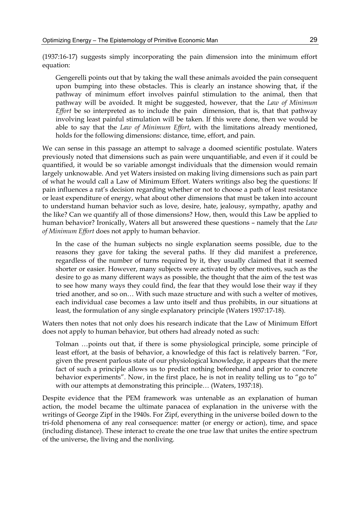(1937:16-17) suggests simply incorporating the pain dimension into the minimum effort equation:

Gengerelli points out that by taking the wall these animals avoided the pain consequent upon bumping into these obstacles. This is clearly an instance showing that, if the pathway of minimum effort involves painful stimulation to the animal, then that pathway will be avoided. It might be suggested, however, that the *Law of Minimum Effort* be so interpreted as to include the pain dimension, that is, that that pathway involving least painful stimulation will be taken. If this were done, then we would be able to say that the *Law of Minimum Effort*, with the limitations already mentioned, holds for the following dimensions: distance, time, effort, and pain.

We can sense in this passage an attempt to salvage a doomed scientific postulate. Waters previously noted that dimensions such as pain were unquantifiable, and even if it could be quantified, it would be so variable amongst individuals that the dimension would remain largely unknowable. And yet Waters insisted on making living dimensions such as pain part of what he would call a Law of Minimum Effort. Waters writings also beg the questions: If pain influences a rat's decision regarding whether or not to choose a path of least resistance or least expenditure of energy, what about other dimensions that must be taken into account to understand human behavior such as love, desire, hate, jealousy, sympathy, apathy and the like? Can we quantify all of those dimensions? How, then, would this Law be applied to human behavior? Ironically, Waters all but answered these questions – namely that the *Law of Minimum Effort* does not apply to human behavior.

In the case of the human subjects no single explanation seems possible, due to the reasons they gave for taking the several paths. If they did manifest a preference, regardless of the number of turns required by it, they usually claimed that it seemed shorter or easier. However, many subjects were activated by other motives, such as the desire to go as many different ways as possible, the thought that the aim of the test was to see how many ways they could find, the fear that they would lose their way if they tried another, and so on… With such maze structure and with such a welter of motives, each individual case becomes a law unto itself and thus prohibits, in our situations at least, the formulation of any single explanatory principle (Waters 1937:17-18).

Waters then notes that not only does his research indicate that the Law of Minimum Effort does not apply to human behavior, but others had already noted as such:

Tolman …points out that, if there is some physiological principle, some principle of least effort, at the basis of behavior, a knowledge of this fact is relatively barren. "For, given the present parlous state of our physiological knowledge, it appears that the mere fact of such a principle allows us to predict nothing beforehand and prior to concrete behavior experiments". Now, in the first place, he is not in reality telling us to "go to" with our attempts at demonstrating this principle… (Waters, 1937:18).

Despite evidence that the PEM framework was untenable as an explanation of human action, the model became the ultimate panacea of explanation in the universe with the writings of George Zipf in the 1940s. For Zipf, everything in the universe boiled down to the tri-fold phenomena of any real consequence: matter (or energy or action), time, and space (including distance). These interact to create the one true law that unites the entire spectrum of the universe, the living and the nonliving.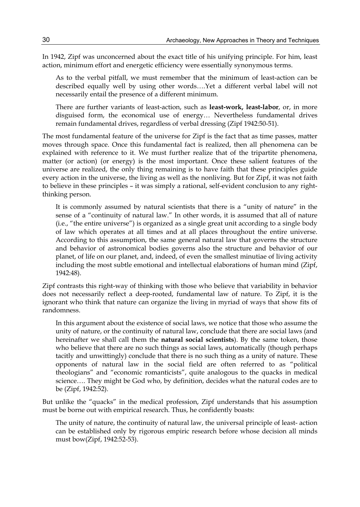In 1942, Zipf was unconcerned about the exact title of his unifying principle. For him, least action, minimum effort and energetic efficiency were essentially synonymous terms.

As to the verbal pitfall, we must remember that the minimum of least-action can be described equally well by using other words….Yet a different verbal label will not necessarily entail the presence of a different minimum.

There are further variants of least-action, such as **least-work, least-labor**, or, in more disguised form, the economical use of energy… Nevertheless fundamental drives remain fundamental drives, regardless of verbal dressing (Zipf 1942:50-51).

The most fundamental feature of the universe for Zipf is the fact that as time passes, matter moves through space. Once this fundamental fact is realized, then all phenomena can be explained with reference to it. We must further realize that of the tripartite phenomena, matter (or action) (or energy) is the most important. Once these salient features of the universe are realized, the only thing remaining is to have faith that these principles guide every action in the universe, the living as well as the nonliving. But for Zipf, it was not faith to believe in these principles – it was simply a rational, self-evident conclusion to any rightthinking person.

It is commonly assumed by natural scientists that there is a "unity of nature" in the sense of a "continuity of natural law." In other words, it is assumed that all of nature (i.e., "the entire universe") is organized as a single great unit according to a single body of law which operates at all times and at all places throughout the entire universe. According to this assumption, the same general natural law that governs the structure and behavior of astronomical bodies governs also the structure and behavior of our planet, of life on our planet, and, indeed, of even the smallest minutiae of living activity including the most subtle emotional and intellectual elaborations of human mind (Zipf, 1942:48).

Zipf contrasts this right-way of thinking with those who believe that variability in behavior does not necessarily reflect a deep-rooted, fundamental law of nature. To Zipf, it is the ignorant who think that nature can organize the living in myriad of ways that show fits of randomness.

In this argument about the existence of social laws, we notice that those who assume the unity of nature, or the continuity of natural law, conclude that there are social laws (and hereinafter we shall call them the **natural social scientists**). By the same token, those who believe that there are no such things as social laws, automatically (though perhaps tacitly and unwittingly) conclude that there is no such thing as a unity of nature. These opponents of natural law in the social field are often referred to as "political theologians" and "economic romanticists", quite analogous to the quacks in medical science…. They might be God who, by definition, decides what the natural codes are to be (Zipf, 1942:52).

But unlike the "quacks" in the medical profession, Zipf understands that his assumption must be borne out with empirical research. Thus, he confidently boasts:

The unity of nature, the continuity of natural law, the universal principle of least- action can be established only by rigorous empiric research before whose decision all minds must bow(Zipf, 1942:52-53).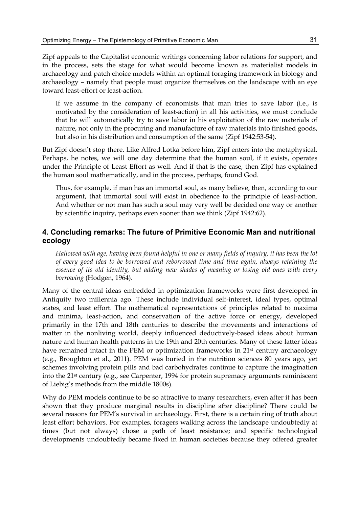Zipf appeals to the Capitalist economic writings concerning labor relations for support, and in the process, sets the stage for what would become known as materialist models in archaeology and patch choice models within an optimal foraging framework in biology and archaeology – namely that people must organize themselves on the landscape with an eye toward least-effort or least-action.

If we assume in the company of economists that man tries to save labor (i.e., is motivated by the consideration of least-action) in all his activities, we must conclude that he will automatically try to save labor in his exploitation of the raw materials of nature, not only in the procuring and manufacture of raw materials into finished goods, but also in his distribution and consumption of the same (Zipf 1942:53-54).

But Zipf doesn't stop there. Like Alfred Lotka before him, Zipf enters into the metaphysical. Perhaps, he notes, we will one day determine that the human soul, if it exists, operates under the Principle of Least Effort as well. And if that is the case, then Zipf has explained the human soul mathematically, and in the process, perhaps, found God.

Thus, for example, if man has an immortal soul, as many believe, then, according to our argument, that immortal soul will exist in obedience to the principle of least-action. And whether or not man has such a soul may very well be decided one way or another by scientific inquiry, perhaps even sooner than we think (Zipf 1942:62).

# **4. Concluding remarks: The future of Primitive Economic Man and nutritional ecology**

*Hallowed with age, having been found helpful in one or many fields of inquiry, it has been the lot of every good idea to be borrowed and reborrowed time and time again, always retaining the*  essence of its old identity, but adding new shades of meaning or losing old ones with every *borrowing* (Hodgen, 1964).

Many of the central ideas embedded in optimization frameworks were first developed in Antiquity two millennia ago. These include individual self-interest, ideal types, optimal states, and least effort. The mathematical representations of principles related to maxima and minima, least-action, and conservation of the active force or energy, developed primarily in the 17th and 18th centuries to describe the movements and interactions of matter in the nonliving world, deeply influenced deductively-based ideas about human nature and human health patterns in the 19th and 20th centuries. Many of these latter ideas have remained intact in the PEM or optimization frameworks in  $21<sup>st</sup>$  century archaeology (e.g., Broughton et al., 2011). PEM was buried in the nutrition sciences 80 years ago, yet schemes involving protein pills and bad carbohydrates continue to capture the imagination into the 21st century (e.g., see Carpenter, 1994 for protein supremacy arguments reminiscent of Liebig's methods from the middle 1800s).

Why do PEM models continue to be so attractive to many researchers, even after it has been shown that they produce marginal results in discipline after discipline? There could be several reasons for PEM's survival in archaeology. First, there is a certain ring of truth about least effort behaviors. For examples, foragers walking across the landscape undoubtedly at times (but not always) chose a path of least resistance; and specific technological developments undoubtedly became fixed in human societies because they offered greater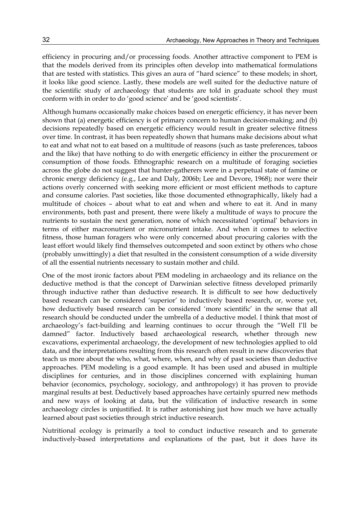efficiency in procuring and/or processing foods. Another attractive component to PEM is that the models derived from its principles often develop into mathematical formulations that are tested with statistics. This gives an aura of "hard science" to these models; in short, it looks like good science. Lastly, these models are well suited for the deductive nature of the scientific study of archaeology that students are told in graduate school they must conform with in order to do 'good science' and be 'good scientists'.

Although humans occasionally make choices based on energetic efficiency, it has never been shown that (a) energetic efficiency is of primary concern to human decision-making; and (b) decisions repeatedly based on energetic efficiency would result in greater selective fitness over time. In contrast, it has been repeatedly shown that humans make decisions about what to eat and what not to eat based on a multitude of reasons (such as taste preferences, taboos and the like) that have nothing to do with energetic efficiency in either the procurement or consumption of those foods. Ethnographic research on a multitude of foraging societies across the globe do not suggest that hunter-gatherers were in a perpetual state of famine or chronic energy deficiency (e.g., Lee and Daly, 2006b; Lee and Devore, 1968); nor were their actions overly concerned with seeking more efficient or most efficient methods to capture and consume calories. Past societies, like those documented ethnographically, likely had a multitude of choices – about what to eat and when and where to eat it. And in many environments, both past and present, there were likely a multitude of ways to procure the nutrients to sustain the next generation, none of which necessitated 'optimal' behaviors in terms of either macronutrient or micronutrient intake. And when it comes to selective fitness, those human foragers who were only concerned about procuring calories with the least effort would likely find themselves outcompeted and soon extinct by others who chose (probably unwittingly) a diet that resulted in the consistent consumption of a wide diversity of all the essential nutrients necessary to sustain mother and child.

One of the most ironic factors about PEM modeling in archaeology and its reliance on the deductive method is that the concept of Darwinian selective fitness developed primarily through inductive rather than deductive research. It is difficult to see how deductively based research can be considered 'superior' to inductively based research, or, worse yet, how deductively based research can be considered 'more scientific' in the sense that all research should be conducted under the umbrella of a deductive model. I think that most of archaeology's fact-building and learning continues to occur through the "Well I'll be damned" factor. Inductively based archaeological research, whether through new excavations, experimental archaeology, the development of new technologies applied to old data, and the interpretations resulting from this research often result in new discoveries that teach us more about the who, what, where, when, and why of past societies than deductive approaches. PEM modeling is a good example. It has been used and abused in multiple disciplines for centuries, and in those disciplines concerned with explaining human behavior (economics, psychology, sociology, and anthropology) it has proven to provide marginal results at best. Deductively based approaches have certainly spurred new methods and new ways of looking at data, but the vilification of inductive research in some archaeology circles is unjustified. It is rather astonishing just how much we have actually learned about past societies through strict inductive research.

Nutritional ecology is primarily a tool to conduct inductive research and to generate inductively-based interpretations and explanations of the past, but it does have its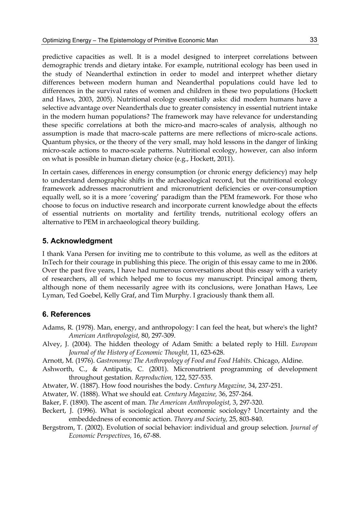predictive capacities as well. It is a model designed to interpret correlations between demographic trends and dietary intake. For example, nutritional ecology has been used in the study of Neanderthal extinction in order to model and interpret whether dietary differences between modern human and Neanderthal populations could have led to differences in the survival rates of women and children in these two populations (Hockett and Haws, 2003, 2005). Nutritional ecology essentially asks: did modern humans have a selective advantage over Neanderthals due to greater consistency in essential nutrient intake in the modern human populations? The framework may have relevance for understanding these specific correlations at both the micro-and macro-scales of analysis, although no assumption is made that macro-scale patterns are mere reflections of micro-scale actions. Quantum physics, or the theory of the very small, may hold lessons in the danger of linking micro-scale actions to macro-scale patterns. Nutritional ecology, however, can also inform on what is possible in human dietary choice (e.g., Hockett, 2011).

In certain cases, differences in energy consumption (or chronic energy deficiency) may help to understand demographic shifts in the archaeological record, but the nutritional ecology framework addresses macronutrient and micronutrient deficiencies or over-consumption equally well, so it is a more 'covering' paradigm than the PEM framework. For those who choose to focus on inductive research and incorporate current knowledge about the effects of essential nutrients on mortality and fertility trends, nutritional ecology offers an alternative to PEM in archaeological theory building.

#### **5. Acknowledgment**

I thank Vana Persen for inviting me to contribute to this volume, as well as the editors at InTech for their courage in publishing this piece. The origin of this essay came to me in 2006. Over the past five years, I have had numerous conversations about this essay with a variety of researchers, all of which helped me to focus my manuscript. Principal among them, although none of them necessarily agree with its conclusions, were Jonathan Haws, Lee Lyman, Ted Goebel, Kelly Graf, and Tim Murphy. I graciously thank them all.

## **6. References**

- Adams, R. (1978). Man, energy, and anthropology: I can feel the heat, but where's the light? *American Anthropologist,* 80, 297-309.
- Alvey, J. (2004). The hidden theology of Adam Smith: a belated reply to Hill. *European Journal of the History of Economic Thought,* 11, 623-628.
- Arnott, M. (1976). *Gastronomy: The Anthropology of Food and Food Habits*. Chicago, Aldine.
- Ashworth, C., & Antipatis, C. (2001). Micronutrient programming of development throughout gestation. *Reproduction,* 122, 527-535.
- Atwater, W. (1887). How food nourishes the body. *Century Magazine,* 34, 237-251.
- Atwater, W. (1888). What we should eat. *Century Magazine,* 36, 257-264.
- Baker, F. (1890). The ascent of man. *The American Anthropologist,* 3, 297-320.
- Beckert, J. (1996). What is sociological about economic sociology? Uncertainty and the embeddedness of economic action. *Theory and Society,* 25, 803-840.
- Bergstrom, T. (2002). Evolution of social behavior: individual and group selection. *Journal of Economic Perspectives,* 16, 67-88.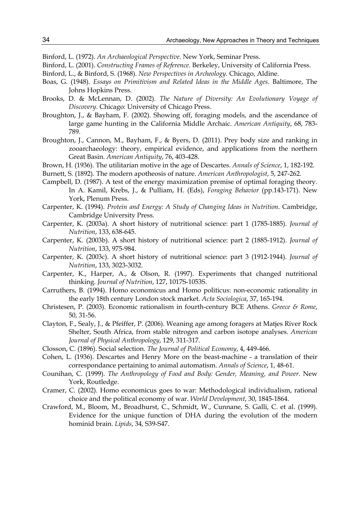Binford, L. (1972). *An Archaeological Perspective*. New York, Seminar Press.

- Binford, L. (2001). *Constructing Frames of Reference*. Berkeley, University of California Press.
- Binford, L., & Binford, S. (1968). *New Perspectives in Archeology*. Chicago, Aldine.
- Boas, G. (1948). *Essays on Primitivism and Related Ideas in the Middle Ages*. Baltimore, The Johns Hopkins Press.
- Brooks, D. & McLennan, D. (2002). *The Nature of Diversity: An Evolutionary Voyage of Discovery*. Chicago: University of Chicago Press.
- Broughton, J., & Bayham, F. (2002). Showing off, foraging models, and the ascendance of large game hunting in the California Middle Archaic. *American Antiquity*, 68, 783- 789.
- Broughton, J., Cannon, M., Bayham, F., & Byers, D. (2011). Prey body size and ranking in zooarchaeology: theory, empirical evidence, and applications from the northern Great Basin. *American Antiquity*, 76, 403-428.
- Brown, H. (1936). The utilitarian motive in the age of Descartes. *Annals of Science*, 1, 182-192.
- Burnett, S. (1892). The modern apotheosis of nature. *American Anthropologist*, 5, 247-262.
- Campbell, D. (1987). A test of the energy maximization premise of optimal foraging theory. In A. Kamil, Krebs, J., & Pulliam, H. (Eds), *Foraging Behavior* (pp.143-171). New York, Plenum Press.
- Carpenter, K. (1994). *Protein and Energy: A Study of Changing Ideas in Nutrition*. Cambridge, Cambridge University Press.
- Carpenter, K. (2003a). A short history of nutritional science: part 1 (1785-1885). *Journal of Nutrition*, 133, 638-645.
- Carpenter, K. (2003b). A short history of nutritional science: part 2 (1885-1912). *Journal of Nutrition*, 133, 975-984.
- Carpenter, K. (2003c). A short history of nutritional science: part 3 (1912-1944). *Journal of Nutrition*, 133, 3023-3032.
- Carpenter, K., Harper, A., & Olson, R. (1997). Experiments that changed nutritional thinking. *Journal of Nutrition*, 127, 1017S-1053S.
- Carruthers, B. (1994). Homo economicus and Homo politicus: non-economic rationality in the early 18th century London stock market. *Acta Sociologica*, 37, 165-194.
- Christesen, P. (2003). Economic rationalism in fourth-century BCE Athens. *Greece & Rome*, 50, 31-56.
- Clayton, F., Sealy, J., & Pfeiffer, P. (2006). Weaning age among foragers at Matjes River Rock Shelter, South Africa, from stable nitrogen and carbon isotope analyses. *American Journal of Physical Anthropology*, 129, 311-317.
- Closson, C. (1896). Social selection. *The Journal of Political Economy*, 4, 449-466.
- Cohen, L. (1936). Descartes and Henry More on the beast-machine a translation of their correspondance pertaining to animal automatism. *Annals of Science*, 1, 48-61.
- Counihan, C. (1999). *The Anthropology of Food and Body: Gender, Meaning, and Power*. New York, Routledge.
- Cramer, C. (2002). Homo economicus goes to war: Methodological individualism, rational choice and the political economy of war. *World Development*, 30, 1845-1864.
- Crawford, M., Bloom, M., Broadhurst, C., Schmidt, W., Cunnane, S. Galli, C. et al. (1999). Evidence for the unique function of DHA during the evolution of the modern hominid brain. *Lipids*, 34, S39-S47.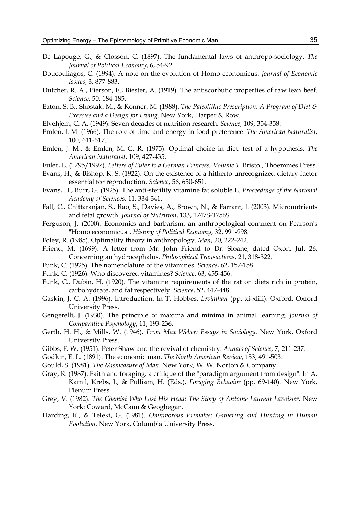- De Lapouge, G., & Closson, C. (1897). The fundamental laws of anthropo-sociology. *The Journal of Political Economy*, 6, 54-92.
- Doucouliagos, C. (1994). A note on the evolution of Homo economicus. *Journal of Economic Issues*, 3, 877-883.
- Dutcher, R. A., Pierson, E., Biester, A. (1919). The antiscorbutic properties of raw lean beef. *Science*, 50, 184-185.
- Eaton, S. B., Shostak, M., & Konner, M. (1988). *The Paleolithic Prescription: A Program of Diet & Exercise and a Design for Living*. New York, Harper & Row.
- Elvehjem, C. A. (1949). Seven decades of nutrition research. *Science*, 109, 354-358.
- Emlen, J. M. (1966). The role of time and energy in food preference. *The American Naturalist*, 100, 611-617.
- Emlen, J. M., & Emlen, M. G. R. (1975). Optimal choice in diet: test of a hypothesis. *The American Naturalist*, 109, 427-435.
- Euler, L. (1795/1997). *Letters of Euler to a German Princess, Volume 1*. Bristol, Thoemmes Press.
- Evans, H., & Bishop, K. S. (1922). On the existence of a hitherto unrecognized dietary factor essential for reproduction. *Science*, 56, 650-651.
- Evans, H., Burr, G. (1925). The anti-sterility vitamine fat soluble E. *Proceedings of the National Academy of Sciences*, 11, 334-341.
- Fall, C., Chittaranjan, S., Rao, S., Davies, A., Brown, N., & Farrant, J. (2003). Micronutrients and fetal growth. *Journal of Nutrition*, 133, 1747S-1756S.
- Ferguson, J. (2000). Economics and barbarism: an anthropological comment on Pearson's "Homo economicus". *History of Political Economy*, 32, 991-998.
- Foley, R. (1985). Optimality theory in anthropology. *Man*, 20, 222-242.
- Friend, M. (1699). A letter from Mr. John Friend to Dr. Sloane, dated Oxon. Jul. 26. Concerning an hydrocephalus. *Philosophical Transactions*, 21, 318-322.
- Funk, C. (1925). The nomenclature of the vitamines. *Science*, 62, 157-158.
- Funk, C. (1926). Who discovered vitamines? *Science*, 63, 455-456.
- Funk, C., Dubin, H. (1920). The vitamine requirements of the rat on diets rich in protein, carbohydrate, and fat respectively. *Science*, 52, 447-448.
- Gaskin, J. C. A. (1996). Introduction. In T. Hobbes, *Leviathan* (pp. xi-xliii). Oxford, Oxford University Press.
- Gengerelli, J. (1930). The principle of maxima and minima in animal learning. *Journal of Comparative Psychology*, 11, 193-236.
- Gerth, H. H., & Mills, W. (1946). *From Max Weber: Essays in Sociology*. New York, Oxford University Press.
- Gibbs, F. W. (1951). Peter Shaw and the revival of chemistry. *Annals of Science*, 7, 211-237.
- Godkin, E. L. (1891). The economic man. *The North American Review*, 153, 491-503.
- Gould, S. (1981). *The Mismeasure of Man*. New York, W. W. Norton & Company.
- Gray, R. (1987). Faith and foraging: a critique of the "paradigm argument from design". In A. Kamil, Krebs, J., & Pulliam, H. (Eds.), *Foraging Behavior* (pp. 69-140). New York, Plenum Press.
- Grey, V. (1982). *The Chemist Who Lost His Head: The Story of Antoine Laurent Lavoisier*. New York: Coward, McCann & Geoghegan.
- Harding, R., & Teleki, G. (1981). *Omnivorous Primates: Gathering and Hunting in Human Evolution*. New York, Columbia University Press.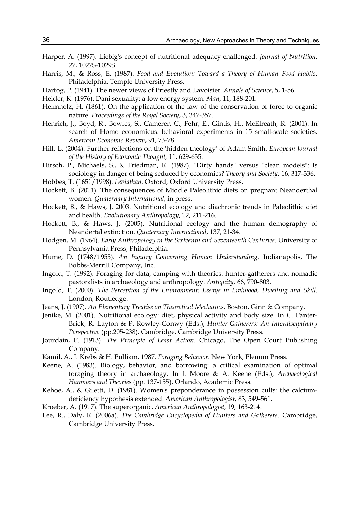- Harper, A. (1997). Liebig's concept of nutritional adequacy challenged. *Journal of Nutrition*, 27, 1027S-1029S.
- Harris, M., & Ross, E. (1987). *Food and Evolution: Toward a Theory of Human Food Habits*. Philadelphia, Temple University Press.
- Hartog, P. (1941). The newer views of Priestly and Lavoisier. *Annals of Science*, 5, 1-56.
- Heider, K. (1976). Dani sexuality: a low energy system. *Man*, 11, 188-201.
- Helmholz, H. (1861). On the application of the law of the conservation of force to organic nature. *Proceedings of the Royal Society*, 3, 347-357.
- Henrich, J., Boyd, R., Bowles, S., Camerer, C., Fehr, E., Gintis, H., McElreath, R. (2001). In search of Homo economicus: behavioral experiments in 15 small-scale societies. *American Economic Review*, 91, 73-78.
- Hill, L. (2004). Further reflections on the 'hidden theology' of Adam Smith. *European Journal of the History of Economic Thought,* 11, 629-635.
- Hirsch, P., Michaels, S., & Friedman, R. (1987). "Dirty hands" versus "clean models": Is sociology in danger of being seduced by economics? *Theory and Society*, 16, 317-336.
- Hobbes, T. (1651/1998). *Leviathan*. Oxford, Oxford University Press.
- Hockett, B. (2011). The consequences of Middle Paleolithic diets on pregnant Neanderthal women. *Quaternary International*, in press.
- Hockett, B., & Haws, J. 2003. Nutritional ecology and diachronic trends in Paleolithic diet and health. *Evolutionary Anthropology*, 12, 211-216.
- Hockett, B., & Haws, J. (2005). Nutritional ecology and the human demography of Neandertal extinction. *Quaternary International*, 137, 21-34.
- Hodgen, M. (1964). *Early Anthropology in the Sixteenth and Seventeenth Centuries*. University of Pennsylvania Press, Philadelphia.
- Hume, D. (1748/1955). *An Inquiry Concerning Human Understanding*. Indianapolis, The Bobbs-Merrill Company, Inc.
- Ingold, T. (1992). Foraging for data, camping with theories: hunter-gatherers and nomadic pastoralists in archaeology and anthropology. *Antiquity,* 66, 790-803.
- Ingold, T. (2000). *The Perception of the Environment: Essays in Livlihood, Dwelling and Skill*. London, Routledge.
- Jeans, J. (1907). *An Elementary Treatise on Theoretical Mechanics*. Boston, Ginn & Company.
- Jenike, M. (2001). Nutritional ecology: diet, physical activity and body size. In C. Panter-Brick, R. Layton & P. Rowley-Conwy (Eds.), *Hunter-Gatherers: An Interdisciplinary Perspective* (pp.205-238). Cambridge, Cambridge University Press.
- Jourdain, P. (1913). *The Principle of Least Action*. Chicago, The Open Court Publishing Company.
- Kamil, A., J. Krebs & H. Pulliam, 1987. *Foraging Behavior*. New York, Plenum Press.
- Keene, A. (1983). Biology, behavior, and borrowing: a critical examination of optimal foraging theory in archaeology. In J. Moore & A. Keene (Eds.), *Archaeological Hammers and Theories* (pp. 137-155). Orlando, Academic Press.
- Kehoe, A., & Giletti, D. (1981). Women's preponderance in possession cults: the calciumdeficiency hypothesis extended. *American Anthropologist*, 83, 549-561.
- Kroeber, A. (1917). The superorganic. *American Anthropologist*, 19, 163-214.
- Lee, R., Daly, R. (2006a). *The Cambridge Encyclopedia of Hunters and Gatherers*. Cambridge, Cambridge University Press.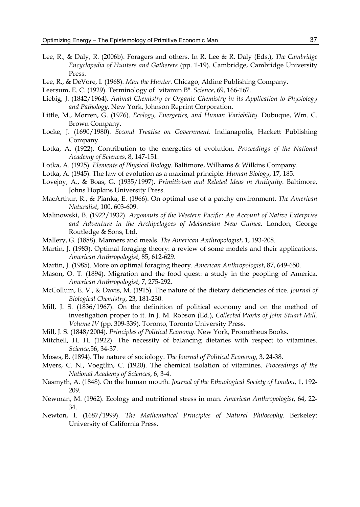- Lee, R., & Daly, R. (2006b). Foragers and others. In R. Lee & R. Daly (Eds.), *The Cambridge Encyclopedia of Hunters and Gatherers* (pp. 1-19). Cambridge, Cambridge University Press.
- Lee, R., & DeVore, I. (1968). *Man the Hunter*. Chicago, Aldine Publishing Company.
- Leersum, E. C. (1929). Terminology of "vitamin B". *Science*, 69, 166-167.
- Liebig, J. (1842/1964). *Animal Chemistry or Organic Chemistry in its Application to Physiology and Pathology*. New York, Johnson Reprint Corporation.
- Little, M., Morren, G. (1976). *Ecology, Energetics, and Human Variability*. Dubuque, Wm. C. Brown Company.
- Locke, J. (1690/1980). *Second Treatise on Government*. Indianapolis, Hackett Publishing Company.
- Lotka, A. (1922). Contribution to the energetics of evolution. *Proceedings of the National Academy of Sciences*, 8, 147-151.
- Lotka, A. (1925). *Elements of Physical Biology*. Baltimore, Williams & Wilkins Company.
- Lotka, A. (1945). The law of evolution as a maximal principle. *Human Biology*, 17, 185.
- Lovejoy, A., & Boas, G. (1935/1997). *Primitivism and Related Ideas in Antiquity*. Baltimore, Johns Hopkins University Press.
- MacArthur, R., & Pianka, E. (1966). On optimal use of a patchy environment. *The American Naturalist*, 100, 603-609.
- Malinowski, B. (1922/1932). *Argonauts of the Western Pacific: An Account of Native Exterprise and Adventure in the Archipelagoes of Melanesian New Guinea*. London, George Routledge & Sons, Ltd.
- Mallery, G. (1888). Manners and meals. *The American Anthropologist*, 1, 193-208.
- Martin, J. (1983). Optimal foraging theory: a review of some models and their applications. *American Anthropologist*, 85, 612-629.
- Martin, J. (1985). More on optimal foraging theory. *American Anthropologist*, 87, 649-650.
- Mason, O. T. (1894). Migration and the food quest: a study in the peopling of America. *American Anthropologist*, 7, 275-292.
- McCollum, E. V., & Davis, M. (1915). The nature of the dietary deficiencies of rice. *Journal of Biological Chemistry*, 23, 181-230.
- Mill, J. S. (1836/1967). On the definition of political economy and on the method of investigation proper to it. In J. M. Robson (Ed.), *Collected Works of John Stuart Mill, Volume IV* (pp. 309-339). Toronto, Toronto University Press.
- Mill, J. S. (1848/2004). *Principles of Political Economy*. New York, Prometheus Books.
- Mitchell, H. H. (1922). The necessity of balancing dietaries with respect to vitamines. *Science*,56, 34-37.
- Moses, B. (1894). The nature of sociology. *The Journal of Political Economy*, 3, 24-38.
- Myers, C. N., Voegtlin, C. (1920). The chemical isolation of vitamines. *Proceedings of the National Academy of Sciences*, 6, 3-4.
- Nasmyth, A. (1848). On the human mouth. *Journal of the Ethnological Society of London*, 1, 192- 209.
- Newman, M. (1962). Ecology and nutritional stress in man. *American Anthropologist*, 64, 22- 34.
- Newton, I. (1687/1999). *The Mathematical Principles of Natural Philosophy*. Berkeley: University of California Press.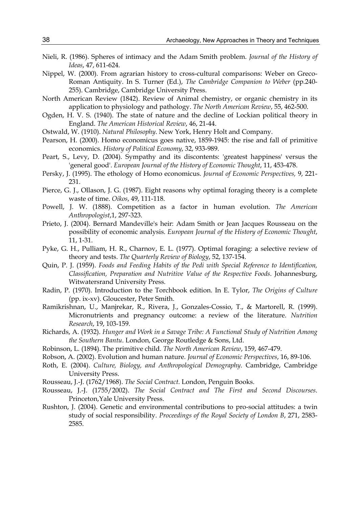- Nieli, R. (1986). Spheres of intimacy and the Adam Smith problem. *Journal of the History of Ideas*, 47, 611-624.
- Nippel, W. (2000). From agrarian history to cross-cultural comparisons: Weber on Greco-Roman Antiquity. In S. Turner (Ed.), *The Cambridge Companion to Weber* (pp.240- 255). Cambridge, Cambridge University Press.
- North American Review (1842). Review of Animal chemistry, or organic chemistry in its application to physiology and pathology. *The North American Review*, 55, 462-500.
- Ogden, H. V. S. (1940). The state of nature and the decline of Lockian political theory in England. *The American Historical Review*, 46, 21-44.
- Ostwald, W. (1910). *Natural Philosophy*. New York, Henry Holt and Company.
- Pearson, H. (2000). Homo economicus goes native, 1859-1945: the rise and fall of primitive economics. *History of Political Economy*, 32, 933-989.
- Peart, S., Levy, D. (2004). Sympathy and its discontents: 'greatest happiness' versus the 'general good'. *European Journal of the History of Economic Thought*, 11, 453-478.
- Persky, J. (1995). The ethology of Homo economicus. *Journal of Economic Perspectives,* 9, 221- 231.
- Pierce, G. J., Ollason, J. G. (1987). Eight reasons why optimal foraging theory is a complete waste of time. *Oikos*, 49, 111-118.
- Powell, J. W. (1888). Competition as a factor in human evolution. *The American Anthropologist*,1, 297-323.
- Prieto, J. (2004). Bernard Mandeville's heir: Adam Smith or Jean Jacques Rousseau on the possibility of economic analysis. *European Journal of the History of Economic Thought*, 11, 1-31.
- Pyke, G. H., Pulliam, H. R., Charnov, E. L. (1977). Optimal foraging: a selective review of theory and tests. *The Quarterly Review of Biology*, 52, 137-154.
- Quin, P. J. (1959). *Foods and Feeding Habits of the Pedi with Special Reference to Identification, Classification, Preparation and Nutritive Value of the Respective Foods*. Johannesburg, Witwatersrand University Press.
- Radin, P. (1970). Introduction to the Torchbook edition. In E. Tylor, *The Origins of Culture* (pp. ix-xv). Gloucester, Peter Smith.
- Ramikrishnan, U., Manjrekar, R., Rivera, J., Gonzales-Cossio, T., & Martorell, R. (1999). Micronutrients and pregnancy outcome: a review of the literature. *Nutrition Research*, 19, 103-159.
- Richards, A. (1932). *Hunger and Work in a Savage Tribe: A Functional Study of Nutrition Among the Southern Bantu*. London, George Routledge & Sons, Ltd.
- Robinson, L. (1894). The primitive child. *The North American Review*, 159, 467-479.
- Robson, A. (2002). Evolution and human nature. *Journal of Economic Perspectives*, 16, 89-106.
- Roth, E. (2004). *Culture, Biology, and Anthropological Demography*. Cambridge, Cambridge University Press.
- Rousseau, J.-J. (1762/1968). *The Social Contract*. London, Penguin Books.
- Rousseau, J.-J. (1755/2002). *The Social Contract and The First and Second Discourses*. Princeton,Yale University Press.
- Rushton, J. (2004). Genetic and environmental contributions to pro-social attitudes: a twin study of social responsibility. *Proceedings of the Royal Society of London B*, 271, 2583- 2585.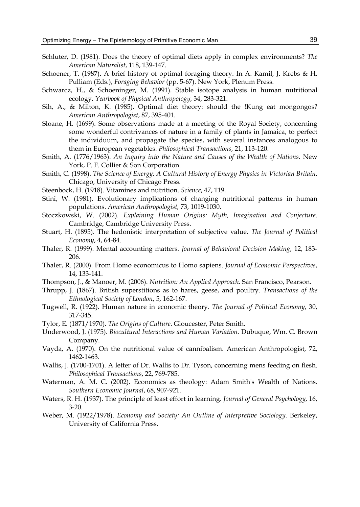- Schluter, D. (1981). Does the theory of optimal diets apply in complex environments? *The American Naturalist*, 118, 139-147.
- Schoener, T. (1987). A brief history of optimal foraging theory. In A. Kamil, J. Krebs & H. Pulliam (Eds.), *Foraging Behavior* (pp. 5-67). New York, Plenum Press.
- Schwarcz, H., & Schoeninger, M. (1991). Stable isotope analysis in human nutritional ecology. *Yearbook of Physical Anthropology*, 34, 283-321.
- Sih, A., & Milton, K. (1985). Optimal diet theory: should the !Kung eat mongongos? *American Anthropologist*, 87, 395-401.
- Sloane, H. (1699). Some observations made at a meeting of the Royal Society, concerning some wonderful contrivances of nature in a family of plants in Jamaica, to perfect the individuum, and propagate the species, with several instances analogous to them in European vegetables. *Philosophical Transactions*, 21, 113-120.
- Smith, A. (1776/1963). *An Inquiry into the Nature and Causes of the Wealth of Nations*. New York, P. F. Collier & Son Corporation.
- Smith, C. (1998). *The Science of Energy: A Cultural History of Energy Physics in Victorian Britain*. Chicago, University of Chicago Press.
- Steenbock, H. (1918). Vitamines and nutrition. *Science*, 47, 119.
- Stini, W. (1981). Evolutionary implications of changing nutritional patterns in human populations. *American Anthropologist,* 73, 1019-1030.
- Stoczkowski, W. (2002). *Explaining Human Origins: Myth, Imagination and Conjecture*. Cambridge, Cambridge University Press.
- Stuart, H. (1895). The hedonistic interpretation of subjective value. *The Journal of Political Economy*, 4, 64-84.
- Thaler, R. (1999). Mental accounting matters. *Journal of Behavioral Decision Making*, 12, 183- 206.
- Thaler, R. (2000). From Homo economicus to Homo sapiens. *Journal of Economic Perspectives*, 14, 133-141.
- Thompson, J., & Manoer, M. (2006). *Nutrition: An Applied Approach*. San Francisco, Pearson.
- Thrupp, J. (1867). British superstitions as to hares, geese, and poultry. *Transactions of the Ethnological Society of London*, 5, 162-167.
- Tugwell, R. (1922). Human nature in economic theory. *The Journal of Political Economy*, 30, 317-345.
- Tylor, E. (1871/1970). *The Origins of Culture*. Gloucester, Peter Smith.
- Underwood, J. (1975). *Biocultural Interactions and Human Variation*. Dubuque, Wm. C. Brown Company.
- Vayda, A. (1970). On the nutritional value of cannibalism. American Anthropologist, 72, 1462-1463.
- Wallis, J. (1700-1701). A letter of Dr. Wallis to Dr. Tyson, concerning mens feeding on flesh. *Philosophical Transactions*, 22, 769-785.
- Waterman, A. M. C. (2002). Economics as theology: Adam Smith's Wealth of Nations. *Southern Economic Journal*, 68, 907-921.
- Waters, R. H. (1937). The principle of least effort in learning. *Journal of General Psychology*, 16, 3-20.
- Weber, M. (1922/1978). *Economy and Society: An Outline of Interpretive Sociology*. Berkeley, University of California Press.